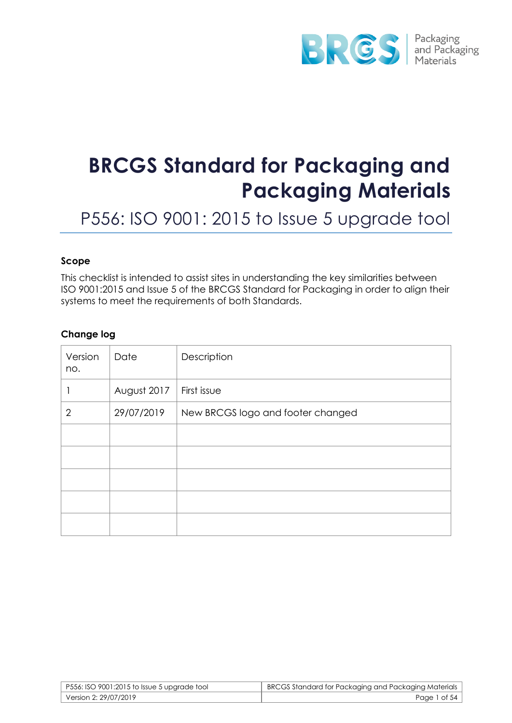

# **BRCGS Standard for Packaging and Packaging Materials**

P556: ISO 9001: 2015 to Issue 5 upgrade tool

#### **Scope**

This checklist is intended to assist sites in understanding the key similarities between ISO 9001:2015 and Issue 5 of the BRCGS Standard for Packaging in order to align their systems to meet the requirements of both Standards.

#### **Change log**

| Version<br>no. | Date        | Description                       |
|----------------|-------------|-----------------------------------|
|                | August 2017 | First issue                       |
| $\overline{2}$ | 29/07/2019  | New BRCGS logo and footer changed |
|                |             |                                   |
|                |             |                                   |
|                |             |                                   |
|                |             |                                   |
|                |             |                                   |

| P556: ISO 9001:2015 to Issue 5 upgrade tool | BRCGS Standard for Packaging and Packaging Materials |
|---------------------------------------------|------------------------------------------------------|
| Version 2: 29/07/2019                       | Page 1 of 54                                         |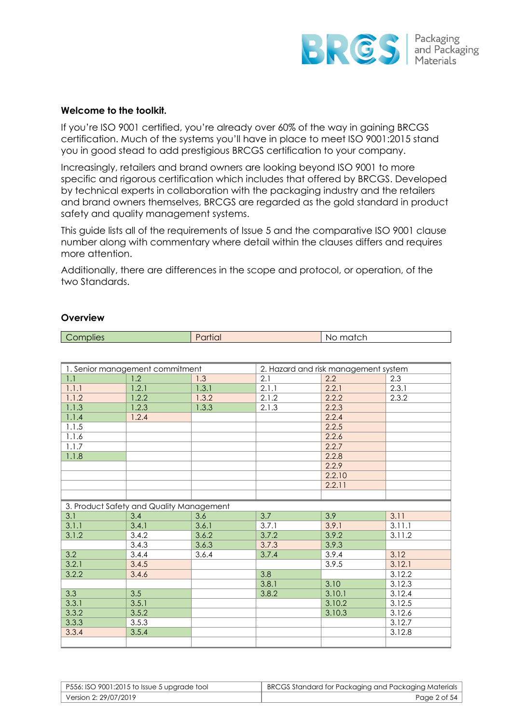

#### **Welcome to the toolkit.**

If you're ISO 9001 certified, you're already over 60% of the way in gaining BRCGS certification. Much of the systems you'll have in place to meet ISO 9001:2015 stand you in good stead to add prestigious BRCGS certification to your company.

Increasingly, retailers and brand owners are looking beyond ISO 9001 to more specific and rigorous certification which includes that offered by BRCGS. Developed by technical experts in collaboration with the packaging industry and the retailers and brand owners themselves, BRCGS are regarded as the gold standard in product safety and quality management systems.

This guide lists all of the requirements of Issue 5 and the comparative ISO 9001 clause number along with commentary where detail within the clauses differs and requires more attention.

Additionally, there are differences in the scope and protocol, or operation, of the two Standards.

**Complies** Partial Partial No match

| 1. Senior management commitment |                                          | 2. Hazard and risk management system |       |        |        |
|---------------------------------|------------------------------------------|--------------------------------------|-------|--------|--------|
| 1.1                             | 1.2                                      | 1.3                                  | 2.1   | 2.2    | 2.3    |
| 1.1.1                           | 1.2.1                                    | 1.3.1                                | 2.1.1 | 2.2.1  | 2.3.1  |
| 1.1.2                           | 1.2.2                                    | 1.3.2                                | 2.1.2 | 2.2.2  | 2.3.2  |
| 1.1.3                           | 1.2.3                                    | 1.3.3                                | 2.1.3 | 2.2.3  |        |
| 1.1.4                           | 1.2.4                                    |                                      |       | 2.2.4  |        |
| 1.1.5                           |                                          |                                      |       | 2.2.5  |        |
| 1.1.6                           |                                          |                                      |       | 2.2.6  |        |
| 1.1.7                           |                                          |                                      |       | 2.2.7  |        |
| 1.1.8                           |                                          |                                      |       | 2.2.8  |        |
|                                 |                                          |                                      |       | 2.2.9  |        |
|                                 |                                          |                                      |       | 2.2.10 |        |
|                                 |                                          |                                      |       | 2.2.11 |        |
|                                 |                                          |                                      |       |        |        |
|                                 | 3. Product Safety and Quality Management |                                      |       |        |        |
| 3.1                             | 3.4                                      | 3.6                                  | 3.7   | 3.9    | 3.11   |
| 3.1.1                           | 3.4.1                                    | 3.6.1                                | 3.7.1 | 3.9.1  | 3.11.1 |
| 3.1.2                           | 3.4.2                                    | 3.6.2                                | 3.7.2 | 3.9.2  | 3.11.2 |
|                                 | 3.4.3                                    | 3.6.3                                | 3.7.3 | 3.9.3  |        |
| 3.2                             | 3.4.4                                    | 3.6.4                                | 3.7.4 | 3.9.4  | 3.12   |
| 3.2.1                           | 3.4.5                                    |                                      |       | 3.9.5  | 3.12.1 |
| 3.2.2                           | 3.4.6                                    |                                      | 3.8   |        | 3.12.2 |
|                                 |                                          |                                      | 3.8.1 | 3.10   | 3.12.3 |
| 3.3                             | 3.5                                      |                                      | 3.8.2 | 3.10.1 | 3.12.4 |
| 3.3.1                           | 3.5.1                                    |                                      |       | 3.10.2 | 3.12.5 |
| 3.3.2                           | 3.5.2                                    |                                      |       | 3.10.3 | 3.12.6 |
| 3.3.3                           | 3.5.3                                    |                                      |       |        | 3.12.7 |
| 3.3.4                           | 3.5.4                                    |                                      |       |        | 3.12.8 |
|                                 |                                          |                                      |       |        |        |

# **Overview**

| P556: ISO 9001:2015 to Issue 5 upgrade tool | BRCGS Standard for Packaging and Packaging Materials |
|---------------------------------------------|------------------------------------------------------|
| Version 2: 29/07/2019                       | Page 2 of 54                                         |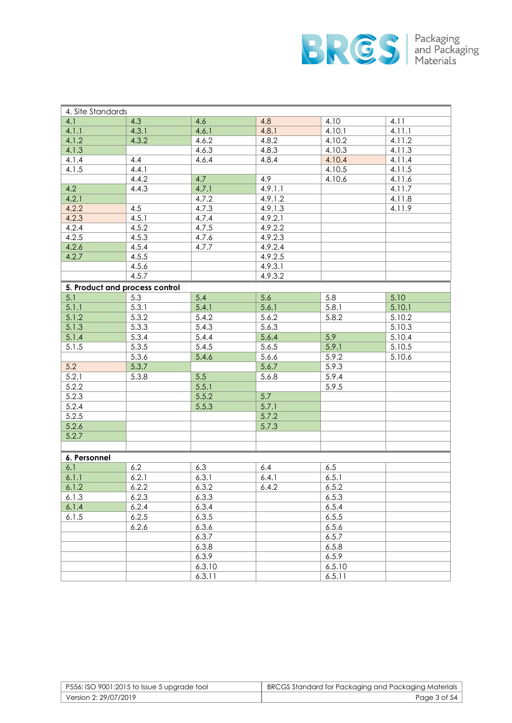

| 4. Site Standards              |       |        |         |        |        |
|--------------------------------|-------|--------|---------|--------|--------|
| 4.1                            | 4.3   | 4.6    | 4.8     | 4.10   | 4.11   |
| 4.1.1                          | 4.3.1 | 4.6.1  | 4.8.1   | 4.10.1 | 4.11.1 |
| 4.1.2                          | 4.3.2 | 4.6.2  | 4.8.2   | 4.10.2 | 4.11.2 |
| 4.1.3                          |       | 4.6.3  | 4.8.3   | 4.10.3 | 4.11.3 |
| 4.1.4                          | 4.4   | 4.6.4  | 4.8.4   | 4.10.4 | 4.11.4 |
| 4.1.5                          | 4.4.1 |        |         | 4.10.5 | 4.11.5 |
|                                | 4.4.2 | 4.7    | 4.9     | 4.10.6 | 4.11.6 |
| 4.2                            | 4.4.3 | 4.7.1  | 4.9.1.1 |        | 4.11.7 |
| 4.2.1                          |       | 4.7.2  | 4.9.1.2 |        | 4.11.8 |
| 4.2.2                          | 4.5   | 4.7.3  | 4.9.1.3 |        | 4.11.9 |
| 4.2.3                          | 4.5.1 | 4.7.4  | 4.9.2.1 |        |        |
| 4.2.4                          | 4.5.2 | 4.7.5  | 4.9.2.2 |        |        |
| 4.2.5                          | 4.5.3 | 4.7.6  | 4.9.2.3 |        |        |
| 4.2.6                          | 4.5.4 | 4.7.7  | 4.9.2.4 |        |        |
| 4.2.7                          | 4.5.5 |        | 4.9.2.5 |        |        |
|                                | 4.5.6 |        | 4.9.3.1 |        |        |
|                                | 4.5.7 |        | 4.9.3.2 |        |        |
| 5. Product and process control |       |        |         |        |        |
| 5.1                            | 5.3   | 5.4    | 5.6     | 5.8    | 5.10   |
| 5.1.1                          | 5.3.1 | 5.4.1  | 5.6.1   | 5.8.1  | 5.10.1 |
| 5.1.2                          | 5.3.2 | 5.4.2  | 5.6.2   | 5.8.2  | 5.10.2 |
| 5.1.3                          | 5.3.3 | 5.4.3  | 5.6.3   |        | 5.10.3 |
| 5.1.4                          | 5.3.4 | 5.4.4  | 5.6.4   | 5.9    | 5.10.4 |
| 5.1.5                          | 5.3.5 | 5.4.5  | 5.6.5   | 5.9.1  | 5.10.5 |
|                                | 5.3.6 | 5.4.6  | 5.6.6   | 5.9.2  | 5.10.6 |
| 5.2                            | 5.3.7 |        | 5.6.7   | 5.9.3  |        |
| 5.2.1                          | 5.3.8 | 5.5    | 5.6.8   | 5.9.4  |        |
| 5.2.2                          |       | 5.5.1  |         |        |        |
|                                |       |        |         | 5.9.5  |        |
| 5.2.3                          |       | 5.5.2  | 5.7     |        |        |
| 5.2.4                          |       | 5.5.3  | 5.7.1   |        |        |
| 5.2.5                          |       |        | 5.7.2   |        |        |
| 5.2.6                          |       |        | 5.7.3   |        |        |
| 5.2.7                          |       |        |         |        |        |
|                                |       |        |         |        |        |
| 6. Personnel                   |       |        |         |        |        |
| 6.1                            | 6.2   | 6.3    | 6.4     | 6.5    |        |
| 6.1.1                          | 6.2.1 | 6.3.1  | 6.4.1   | 6.5.1  |        |
| 6.1.2                          | 6.2.2 | 6.3.2  | 6.4.2   | 6.5.2  |        |
| 6.1.3                          | 6.2.3 | 6.3.3  |         | 6.5.3  |        |
| 6.1.4                          | 6.2.4 | 6.3.4  |         | 6.5.4  |        |
| 6.1.5                          | 6.2.5 | 6.3.5  |         | 6.5.5  |        |
|                                | 6.2.6 | 6.3.6  |         | 6.5.6  |        |
|                                |       | 6.3.7  |         | 6.5.7  |        |
|                                |       | 6.3.8  |         | 6.5.8  |        |
|                                |       | 6.3.9  |         | 6.5.9  |        |
|                                |       | 6.3.10 |         | 6.5.10 |        |
|                                |       | 6.3.11 |         | 6.5.11 |        |

| P556: ISO 9001:2015 to Issue 5 upgrade tool | BRCGS Standard for Packaging and Packaging Materials |
|---------------------------------------------|------------------------------------------------------|
| Version 2: 29/07/2019                       | Page 3 of 54                                         |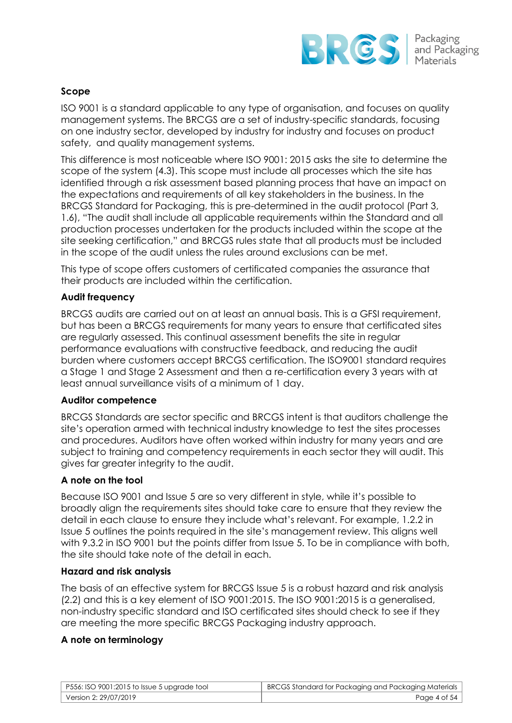

### **Scope**

ISO 9001 is a standard applicable to any type of organisation, and focuses on quality management systems. The BRCGS are a set of industry-specific standards, focusing on one industry sector, developed by industry for industry and focuses on product safety, and quality management systems.

This difference is most noticeable where ISO 9001: 2015 asks the site to determine the scope of the system (4.3). This scope must include all processes which the site has identified through a risk assessment based planning process that have an impact on the expectations and requirements of all key stakeholders in the business. In the BRCGS Standard for Packaging, this is pre-determined in the audit protocol (Part 3, 1.6), "The audit shall include all applicable requirements within the Standard and all production processes undertaken for the products included within the scope at the site seeking certification," and BRCGS rules state that all products must be included in the scope of the audit unless the rules around exclusions can be met.

This type of scope offers customers of certificated companies the assurance that their products are included within the certification.

#### **Audit frequency**

BRCGS audits are carried out on at least an annual basis. This is a GFSI requirement, but has been a BRCGS requirements for many years to ensure that certificated sites are regularly assessed. This continual assessment benefits the site in regular performance evaluations with constructive feedback, and reducing the audit burden where customers accept BRCGS certification. The ISO9001 standard requires a Stage 1 and Stage 2 Assessment and then a re-certification every 3 years with at least annual surveillance visits of a minimum of 1 day.

#### **Auditor competence**

BRCGS Standards are sector specific and BRCGS intent is that auditors challenge the site's operation armed with technical industry knowledge to test the sites processes and procedures. Auditors have often worked within industry for many years and are subject to training and competency requirements in each sector they will audit. This gives far greater integrity to the audit.

# **A note on the tool**

Because ISO 9001 and Issue 5 are so very different in style, while it's possible to broadly align the requirements sites should take care to ensure that they review the detail in each clause to ensure they include what's relevant. For example, 1.2.2 in Issue 5 outlines the points required in the site's management review. This aligns well with 9.3.2 in ISO 9001 but the points differ from Issue 5. To be in compliance with both, the site should take note of the detail in each.

#### **Hazard and risk analysis**

The basis of an effective system for BRCGS Issue 5 is a robust hazard and risk analysis (2.2) and this is a key element of ISO 9001:2015. The ISO 9001:2015 is a generalised, non-industry specific standard and ISO certificated sites should check to see if they are meeting the more specific BRCGS Packaging industry approach.

#### **A note on terminology**

| $\vert$ P556: ISO 9001:2015 to Issue 5 upgrade tool | BRCGS Standard for Packaging and Packaging Materials |
|-----------------------------------------------------|------------------------------------------------------|
| Version 2: 29/07/2019                               | Page 4 of 54                                         |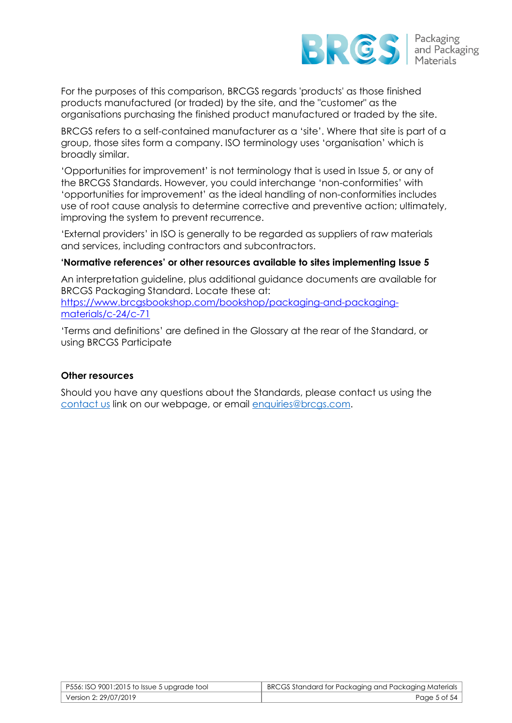

For the purposes of this comparison, BRCGS regards 'products' as those finished products manufactured (or traded) by the site, and the "customer" as the organisations purchasing the finished product manufactured or traded by the site.

BRCGS refers to a self-contained manufacturer as a 'site'. Where that site is part of a group, those sites form a company. ISO terminology uses 'organisation' which is broadly similar.

'Opportunities for improvement' is not terminology that is used in Issue 5, or any of the BRCGS Standards. However, you could interchange 'non-conformities' with 'opportunities for improvement' as the ideal handling of non-conformities includes use of root cause analysis to determine corrective and preventive action; ultimately, improving the system to prevent recurrence.

'External providers' in ISO is generally to be regarded as suppliers of raw materials and services, including contractors and subcontractors.

#### **'Normative references' or other resources available to sites implementing Issue 5**

An interpretation guideline, plus additional guidance documents are available for BRCGS Packaging Standard. Locate these at:

[https://www.brcgsbookshop.com/bookshop/packaging-and-packaging](https://www.brcgsbookshop.com/bookshop/packaging-and-packaging-materials/c-24/c-71)[materials/c-24/c-71](https://www.brcgsbookshop.com/bookshop/packaging-and-packaging-materials/c-24/c-71)

'Terms and definitions' are defined in the Glossary at the rear of the Standard, or using BRCGS Participate

#### **Other resources**

Should you have any questions about the Standards, please contact us using the [contact us](https://www.brcglobalstandards.com/contact-us/) link on our webpage, or email [enquiries@brcgs.com.](mailto:enquiries@brcgs.com)

| $\mid$ P556: ISO 9001:2015 to Issue 5 upgrade tool | BRCGS Standard for Packaging and Packaging Materials |
|----------------------------------------------------|------------------------------------------------------|
| Version 2: 29/07/2019                              | Page 5 of 54                                         |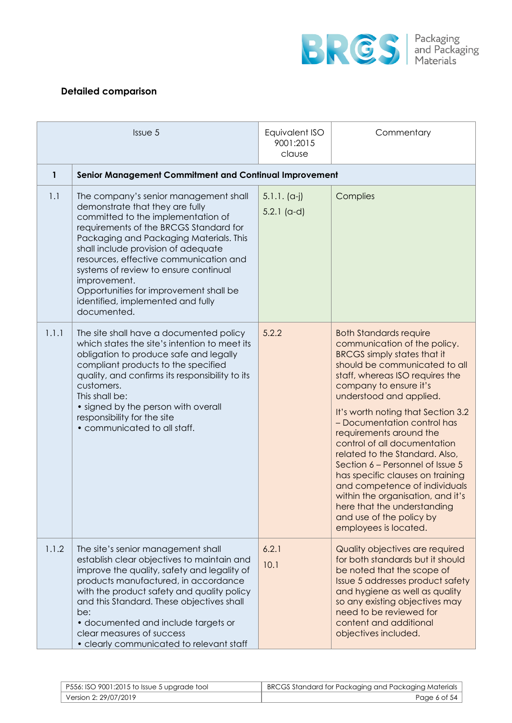

# **Detailed comparison**

| Issue 5 |                                                                                                                                                                                                                                                                                                                                                                                                                                             | Equivalent ISO<br>9001:2015<br>clause | Commentary                                                                                                                                                                                                                                                                                                                                                                                                                                                                                                                                                                                                                       |  |  |
|---------|---------------------------------------------------------------------------------------------------------------------------------------------------------------------------------------------------------------------------------------------------------------------------------------------------------------------------------------------------------------------------------------------------------------------------------------------|---------------------------------------|----------------------------------------------------------------------------------------------------------------------------------------------------------------------------------------------------------------------------------------------------------------------------------------------------------------------------------------------------------------------------------------------------------------------------------------------------------------------------------------------------------------------------------------------------------------------------------------------------------------------------------|--|--|
| 1       | Senior Management Commitment and Continual Improvement                                                                                                                                                                                                                                                                                                                                                                                      |                                       |                                                                                                                                                                                                                                                                                                                                                                                                                                                                                                                                                                                                                                  |  |  |
| 1.1     | The company's senior management shall<br>demonstrate that they are fully<br>committed to the implementation of<br>requirements of the BRCGS Standard for<br>Packaging and Packaging Materials. This<br>shall include provision of adequate<br>resources, effective communication and<br>systems of review to ensure continual<br>improvement.<br>Opportunities for improvement shall be<br>identified, implemented and fully<br>documented. | $5.1.1. (a-j)$<br>$5.2.1$ (a-d)       | Complies                                                                                                                                                                                                                                                                                                                                                                                                                                                                                                                                                                                                                         |  |  |
| 1.1.1   | The site shall have a documented policy<br>which states the site's intention to meet its<br>obligation to produce safe and legally<br>compliant products to the specified<br>quality, and confirms its responsibility to its<br>customers.<br>This shall be:<br>• signed by the person with overall<br>responsibility for the site<br>• communicated to all staff.                                                                          | 5.2.2                                 | <b>Both Standards require</b><br>communication of the policy.<br><b>BRCGS</b> simply states that it<br>should be communicated to all<br>staff, whereas ISO requires the<br>company to ensure it's<br>understood and applied.<br>It's worth noting that Section 3.2<br>- Documentation control has<br>requirements around the<br>control of all documentation<br>related to the Standard. Also,<br>Section 6 – Personnel of Issue 5<br>has specific clauses on training<br>and competence of individuals<br>within the organisation, and it's<br>here that the understanding<br>and use of the policy by<br>employees is located. |  |  |
| 1.1.2   | The site's senior management shall<br>establish clear objectives to maintain and<br>improve the quality, safety and legality of<br>products manufactured, in accordance<br>with the product safety and quality policy<br>and this Standard. These objectives shall<br>be:<br>• documented and include targets or<br>clear measures of success<br>• clearly communicated to relevant staff                                                   | 6.2.1<br>10.1                         | Quality objectives are required<br>for both standards but it should<br>be noted that the scope of<br>Issue 5 addresses product safety<br>and hygiene as well as quality<br>so any existing objectives may<br>need to be reviewed for<br>content and additional<br>objectives included.                                                                                                                                                                                                                                                                                                                                           |  |  |

| $\mid$ P556: ISO 9001:2015 to Issue 5 upgrade tool | BRCGS Standard for Packaging and Packaging Materials |
|----------------------------------------------------|------------------------------------------------------|
| Version 2: 29/07/2019 '                            | Page 6 of 54                                         |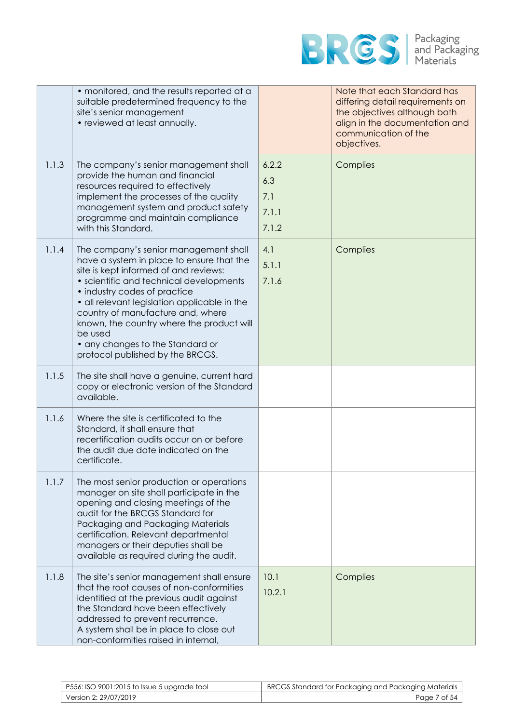

|       | • monitored, and the results reported at a<br>suitable predetermined frequency to the<br>site's senior management<br>• reviewed at least annually.                                                                                                                                                                                                                                                                          |                                       | Note that each Standard has<br>differing detail requirements on<br>the objectives although both<br>align in the documentation and<br>communication of the<br>objectives. |
|-------|-----------------------------------------------------------------------------------------------------------------------------------------------------------------------------------------------------------------------------------------------------------------------------------------------------------------------------------------------------------------------------------------------------------------------------|---------------------------------------|--------------------------------------------------------------------------------------------------------------------------------------------------------------------------|
| 1.1.3 | The company's senior management shall<br>provide the human and financial<br>resources required to effectively<br>implement the processes of the quality<br>management system and product safety<br>programme and maintain compliance<br>with this Standard.                                                                                                                                                                 | 6.2.2<br>6.3<br>7.1<br>7.1.1<br>7.1.2 | Complies                                                                                                                                                                 |
| 1.1.4 | The company's senior management shall<br>have a system in place to ensure that the<br>site is kept informed of and reviews:<br>• scientific and technical developments<br>• industry codes of practice<br>• all relevant legislation applicable in the<br>country of manufacture and, where<br>known, the country where the product will<br>be used<br>• any changes to the Standard or<br>protocol published by the BRCGS. | 4.1<br>5.1.1<br>7.1.6                 | Complies                                                                                                                                                                 |
| 1.1.5 | The site shall have a genuine, current hard<br>copy or electronic version of the Standard<br>available.                                                                                                                                                                                                                                                                                                                     |                                       |                                                                                                                                                                          |
| 1.1.6 | Where the site is certificated to the<br>Standard, it shall ensure that<br>recertification audits occur on or before<br>the audit due date indicated on the<br>certificate.                                                                                                                                                                                                                                                 |                                       |                                                                                                                                                                          |
| 1.1.7 | The most senior production or operations<br>manager on site shall participate in the<br>opening and closing meetings of the<br>audit for the BRCGS Standard for<br>Packaging and Packaging Materials<br>certification. Relevant departmental<br>managers or their deputies shall be<br>available as required during the audit.                                                                                              |                                       |                                                                                                                                                                          |
| 1.1.8 | The site's senior management shall ensure<br>that the root causes of non-conformities<br>identified at the previous audit against<br>the Standard have been effectively<br>addressed to prevent recurrence.<br>A system shall be in place to close out<br>non-conformities raised in internal,                                                                                                                              | 10.1<br>10.2.1                        | Complies                                                                                                                                                                 |

| P556: ISO 9001:2015 to Issue 5 upgrade tool | BRCGS Standard for Packaging and Packaging Materials |
|---------------------------------------------|------------------------------------------------------|
| Version 2: 29/07/2019                       | Page 7 of 54                                         |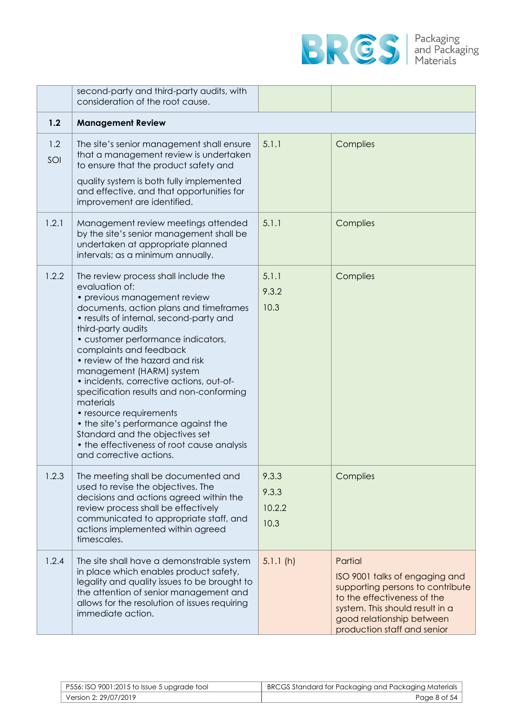

|            | second-party and third-party audits, with<br>consideration of the root cause.                                                                                                                                                                                                                                                                                                                                                                                                                                                                                                                                         |                                  |                                                                                                                                                                                                             |
|------------|-----------------------------------------------------------------------------------------------------------------------------------------------------------------------------------------------------------------------------------------------------------------------------------------------------------------------------------------------------------------------------------------------------------------------------------------------------------------------------------------------------------------------------------------------------------------------------------------------------------------------|----------------------------------|-------------------------------------------------------------------------------------------------------------------------------------------------------------------------------------------------------------|
| 1.2        | <b>Management Review</b>                                                                                                                                                                                                                                                                                                                                                                                                                                                                                                                                                                                              |                                  |                                                                                                                                                                                                             |
| 1.2<br>SOI | The site's senior management shall ensure<br>that a management review is undertaken<br>to ensure that the product safety and<br>quality system is both fully implemented<br>and effective, and that opportunities for<br>improvement are identified.                                                                                                                                                                                                                                                                                                                                                                  | 5.1.1                            | Complies                                                                                                                                                                                                    |
| 1.2.1      | Management review meetings attended<br>by the site's senior management shall be<br>undertaken at appropriate planned<br>intervals; as a minimum annually.                                                                                                                                                                                                                                                                                                                                                                                                                                                             | 5.1.1                            | Complies                                                                                                                                                                                                    |
| 1.2.2      | The review process shall include the<br>evaluation of:<br>• previous management review<br>documents, action plans and timeframes<br>• results of internal, second-party and<br>third-party audits<br>• customer performance indicators,<br>complaints and feedback<br>• review of the hazard and risk<br>management (HARM) system<br>· incidents, corrective actions, out-of-<br>specification results and non-conforming<br>materials<br>• resource requirements<br>• the site's performance against the<br>Standard and the objectives set<br>• the effectiveness of root cause analysis<br>and corrective actions. | 5.1.1<br>9.3.2<br>10.3           | Complies                                                                                                                                                                                                    |
| 1.2.3      | The meeting shall be documented and<br>used to revise the objectives. The<br>decisions and actions agreed within the<br>review process shall be effectively<br>communicated to appropriate staff, and<br>actions implemented within agreed<br>timescales.                                                                                                                                                                                                                                                                                                                                                             | 9.3.3<br>9.3.3<br>10.2.2<br>10.3 | Complies                                                                                                                                                                                                    |
| 1.2.4      | The site shall have a demonstrable system<br>in place which enables product safety,<br>legality and quality issues to be brought to<br>the attention of senior management and<br>allows for the resolution of issues requiring<br>immediate action.                                                                                                                                                                                                                                                                                                                                                                   | 5.1.1(h)                         | Partial<br>ISO 9001 talks of engaging and<br>supporting persons to contribute<br>to the effectiveness of the<br>system. This should result in a<br>good relationship between<br>production staff and senior |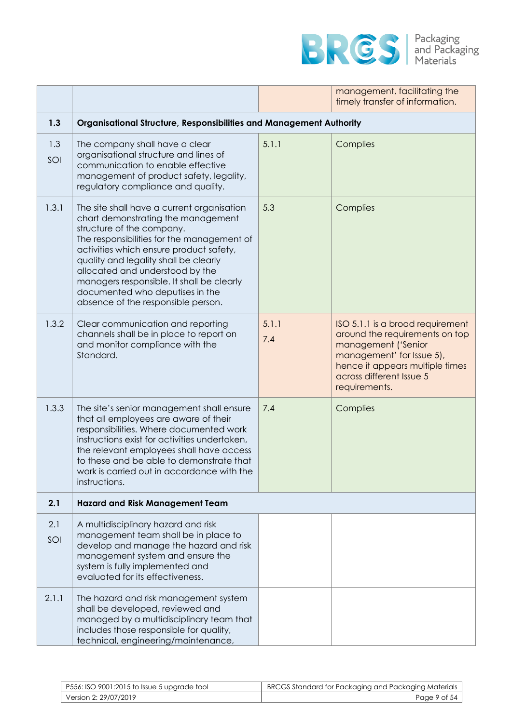

|            |                                                                                                                                                                                                                                                                                                                                                                                                          |              | management, facilitating the<br>timely transfer of information.                                                                                                                                        |
|------------|----------------------------------------------------------------------------------------------------------------------------------------------------------------------------------------------------------------------------------------------------------------------------------------------------------------------------------------------------------------------------------------------------------|--------------|--------------------------------------------------------------------------------------------------------------------------------------------------------------------------------------------------------|
| 1.3        | Organisational Structure, Responsibilities and Management Authority                                                                                                                                                                                                                                                                                                                                      |              |                                                                                                                                                                                                        |
| 1.3<br>SOI | The company shall have a clear<br>organisational structure and lines of<br>communication to enable effective<br>management of product safety, legality,<br>regulatory compliance and quality.                                                                                                                                                                                                            | 5.1.1        | Complies                                                                                                                                                                                               |
| 1.3.1      | The site shall have a current organisation<br>chart demonstrating the management<br>structure of the company.<br>The responsibilities for the management of<br>activities which ensure product safety,<br>quality and legality shall be clearly<br>allocated and understood by the<br>managers responsible. It shall be clearly<br>documented who deputises in the<br>absence of the responsible person. | 5.3          | Complies                                                                                                                                                                                               |
| 1.3.2      | Clear communication and reporting<br>channels shall be in place to report on<br>and monitor compliance with the<br>Standard.                                                                                                                                                                                                                                                                             | 5.1.1<br>7.4 | ISO 5.1.1 is a broad requirement<br>around the requirements on top<br>management ('Senior<br>management' for Issue 5),<br>hence it appears multiple times<br>across different Issue 5<br>requirements. |
| 1.3.3      | The site's senior management shall ensure<br>that all employees are aware of their<br>responsibilities. Where documented work<br>instructions exist for activities undertaken.<br>the relevant employees shall have access<br>to these and be able to demonstrate that<br>work is carried out in accordance with the<br>instructions.                                                                    | 7.4          | Complies                                                                                                                                                                                               |
| 2.1        | <b>Hazard and Risk Management Team</b>                                                                                                                                                                                                                                                                                                                                                                   |              |                                                                                                                                                                                                        |
| 2.1<br>SOI | A multidisciplinary hazard and risk<br>management team shall be in place to<br>develop and manage the hazard and risk<br>management system and ensure the<br>system is fully implemented and<br>evaluated for its effectiveness.                                                                                                                                                                         |              |                                                                                                                                                                                                        |
| 2.1.1      | The hazard and risk management system<br>shall be developed, reviewed and<br>managed by a multidisciplinary team that<br>includes those responsible for quality,<br>technical, engineering/maintenance,                                                                                                                                                                                                  |              |                                                                                                                                                                                                        |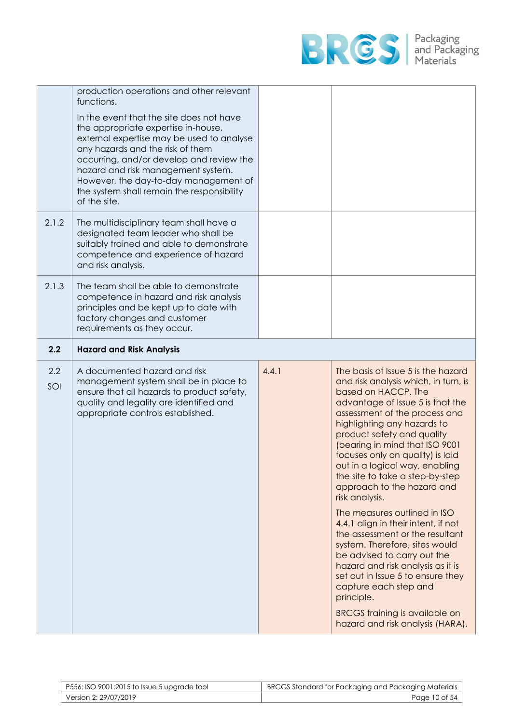

|            | production operations and other relevant                                                                                                                                                                                                                                                                                                                  |       |                                                                                                                                                                                                                                                                                                                                                                                                                                |
|------------|-----------------------------------------------------------------------------------------------------------------------------------------------------------------------------------------------------------------------------------------------------------------------------------------------------------------------------------------------------------|-------|--------------------------------------------------------------------------------------------------------------------------------------------------------------------------------------------------------------------------------------------------------------------------------------------------------------------------------------------------------------------------------------------------------------------------------|
|            | functions.                                                                                                                                                                                                                                                                                                                                                |       |                                                                                                                                                                                                                                                                                                                                                                                                                                |
|            | In the event that the site does not have<br>the appropriate expertise in-house,<br>external expertise may be used to analyse<br>any hazards and the risk of them<br>occurring, and/or develop and review the<br>hazard and risk management system.<br>However, the day-to-day management of<br>the system shall remain the responsibility<br>of the site. |       |                                                                                                                                                                                                                                                                                                                                                                                                                                |
| 2.1.2      | The multidisciplinary team shall have a<br>designated team leader who shall be<br>suitably trained and able to demonstrate<br>competence and experience of hazard<br>and risk analysis.                                                                                                                                                                   |       |                                                                                                                                                                                                                                                                                                                                                                                                                                |
| 2.1.3      | The team shall be able to demonstrate<br>competence in hazard and risk analysis<br>principles and be kept up to date with<br>factory changes and customer<br>requirements as they occur.                                                                                                                                                                  |       |                                                                                                                                                                                                                                                                                                                                                                                                                                |
| 2.2        | <b>Hazard and Risk Analysis</b>                                                                                                                                                                                                                                                                                                                           |       |                                                                                                                                                                                                                                                                                                                                                                                                                                |
| 2.2<br>SOI | A documented hazard and risk<br>management system shall be in place to<br>ensure that all hazards to product safety,<br>quality and legality are identified and<br>appropriate controls established.                                                                                                                                                      | 4.4.1 | The basis of Issue 5 is the hazard<br>and risk analysis which, in turn, is<br>based on HACCP. The<br>advantage of Issue 5 is that the<br>assessment of the process and<br>highlighting any hazards to<br>product safety and quality<br>(bearing in mind that ISO 9001<br>focuses only on quality) is laid<br>out in a logical way, enabling<br>the site to take a step-by-step<br>approach to the hazard and<br>risk analysis. |
|            |                                                                                                                                                                                                                                                                                                                                                           |       | The measures outlined in ISO<br>4.4.1 align in their intent, if not                                                                                                                                                                                                                                                                                                                                                            |

| P556: ISO 9001:2015 to Issue 5 upgrade tool | BRCGS Standard for Packaging and Packaging Materials |
|---------------------------------------------|------------------------------------------------------|
| Version 2: 29/07/2019                       | Page 10 of 54                                        |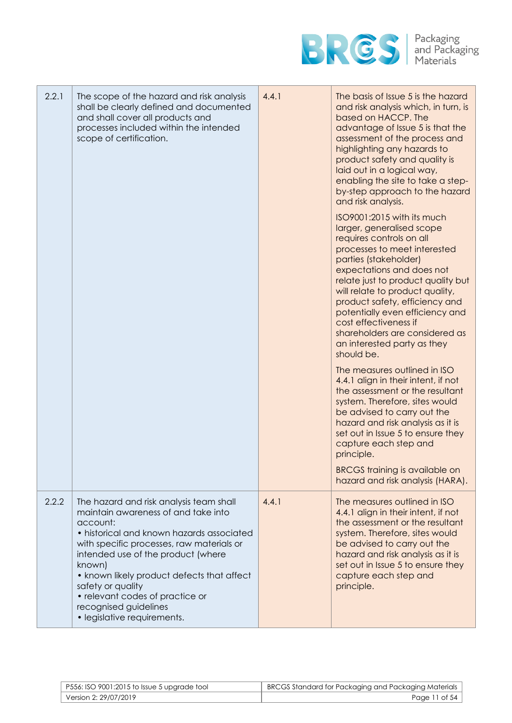

| 2.2.1 | The scope of the hazard and risk analysis<br>shall be clearly defined and documented<br>and shall cover all products and<br>processes included within the intended<br>scope of certification.                                                                                                                                                                                                      | 4.4.1 | The basis of Issue 5 is the hazard<br>and risk analysis which, in turn, is<br>based on HACCP. The<br>advantage of Issue 5 is that the<br>assessment of the process and<br>highlighting any hazards to<br>product safety and quality is<br>laid out in a logical way,<br>enabling the site to take a step-<br>by-step approach to the hazard<br>and risk analysis.                                                               |
|-------|----------------------------------------------------------------------------------------------------------------------------------------------------------------------------------------------------------------------------------------------------------------------------------------------------------------------------------------------------------------------------------------------------|-------|---------------------------------------------------------------------------------------------------------------------------------------------------------------------------------------------------------------------------------------------------------------------------------------------------------------------------------------------------------------------------------------------------------------------------------|
|       |                                                                                                                                                                                                                                                                                                                                                                                                    |       | ISO9001:2015 with its much<br>larger, generalised scope<br>requires controls on all<br>processes to meet interested<br>parties (stakeholder)<br>expectations and does not<br>relate just to product quality but<br>will relate to product quality,<br>product safety, efficiency and<br>potentially even efficiency and<br>cost effectiveness if<br>shareholders are considered as<br>an interested party as they<br>should be. |
|       |                                                                                                                                                                                                                                                                                                                                                                                                    |       | The measures outlined in ISO<br>4.4.1 align in their intent, if not<br>the assessment or the resultant<br>system. Therefore, sites would<br>be advised to carry out the<br>hazard and risk analysis as it is<br>set out in Issue 5 to ensure they<br>capture each step and<br>principle.<br><b>BRCGS</b> training is available on<br>hazard and risk analysis (HARA).                                                           |
| 2.2.2 | The hazard and risk analysis team shall<br>maintain awareness of and take into<br>account:<br>• historical and known hazards associated<br>with specific processes, raw materials or<br>intended use of the product (where<br>known)<br>• known likely product defects that affect<br>safety or quality<br>• relevant codes of practice or<br>recognised guidelines<br>• legislative requirements. | 4.4.1 | The measures outlined in ISO<br>4.4.1 align in their intent, if not<br>the assessment or the resultant<br>system. Therefore, sites would<br>be advised to carry out the<br>hazard and risk analysis as it is<br>set out in Issue 5 to ensure they<br>capture each step and<br>principle.                                                                                                                                        |

| P556: ISO 9001:2015 to Issue 5 upgrade tool | BRCGS Standard for Packaging and Packaging Materials |
|---------------------------------------------|------------------------------------------------------|
| Version 2: 29/07/2019                       | Page 11 of 54                                        |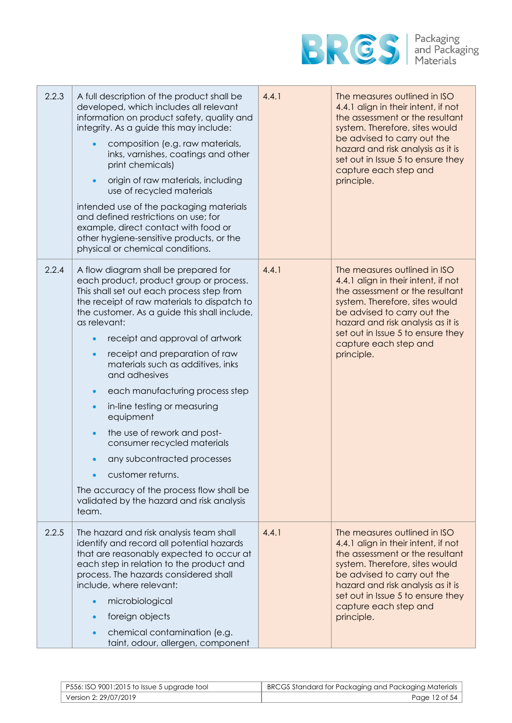

| 2.2.3 | A full description of the product shall be<br>developed, which includes all relevant<br>information on product safety, quality and<br>integrity. As a guide this may include:<br>composition (e.g. raw materials,<br>inks, varnishes, coatings and other<br>print chemicals)<br>origin of raw materials, including<br>$\bullet$<br>use of recycled materials<br>intended use of the packaging materials<br>and defined restrictions on use; for<br>example, direct contact with food or<br>other hygiene-sensitive products, or the<br>physical or chemical conditions.                                                                                                                                                                      | 4.4.1 | The measures outlined in ISO<br>4.4.1 align in their intent, if not<br>the assessment or the resultant<br>system. Therefore, sites would<br>be advised to carry out the<br>hazard and risk analysis as it is<br>set out in Issue 5 to ensure they<br>capture each step and<br>principle. |
|-------|----------------------------------------------------------------------------------------------------------------------------------------------------------------------------------------------------------------------------------------------------------------------------------------------------------------------------------------------------------------------------------------------------------------------------------------------------------------------------------------------------------------------------------------------------------------------------------------------------------------------------------------------------------------------------------------------------------------------------------------------|-------|------------------------------------------------------------------------------------------------------------------------------------------------------------------------------------------------------------------------------------------------------------------------------------------|
| 2.2.4 | A flow diagram shall be prepared for<br>each product, product group or process.<br>This shall set out each process step from<br>the receipt of raw materials to dispatch to<br>the customer. As a guide this shall include,<br>as relevant:<br>receipt and approval of artwork<br>$\bullet$<br>receipt and preparation of raw<br>$\bullet$<br>materials such as additives, inks<br>and adhesives<br>each manufacturing process step<br>$\bullet$<br>in-line testing or measuring<br>$\bullet$<br>equipment<br>the use of rework and post-<br>$\bullet$<br>consumer recycled materials<br>any subcontracted processes<br>customer returns.<br>The accuracy of the process flow shall be<br>validated by the hazard and risk analysis<br>team. | 4.4.1 | The measures outlined in ISO<br>4.4.1 align in their intent, if not<br>the assessment or the resultant<br>system. Therefore, sites would<br>be advised to carry out the<br>hazard and risk analysis as it is<br>set out in Issue 5 to ensure they<br>capture each step and<br>principle. |
| 2.2.5 | The hazard and risk analysis team shall<br>identify and record all potential hazards<br>that are reasonably expected to occur at<br>each step in relation to the product and<br>process. The hazards considered shall<br>include, where relevant:<br>microbiological<br>foreign objects<br>$\bullet$<br>chemical contamination (e.g.<br>taint, odour, allergen, component                                                                                                                                                                                                                                                                                                                                                                    | 4.4.1 | The measures outlined in ISO<br>4.4.1 align in their intent, if not<br>the assessment or the resultant<br>system. Therefore, sites would<br>be advised to carry out the<br>hazard and risk analysis as it is<br>set out in Issue 5 to ensure they<br>capture each step and<br>principle. |

| $\mid$ P556: ISO 9001:2015 to Issue 5 upgrade tool | BRCGS Standard for Packaging and Packaging Materials |
|----------------------------------------------------|------------------------------------------------------|
| Version 2: 29/07/2019                              | Page 12 of 54                                        |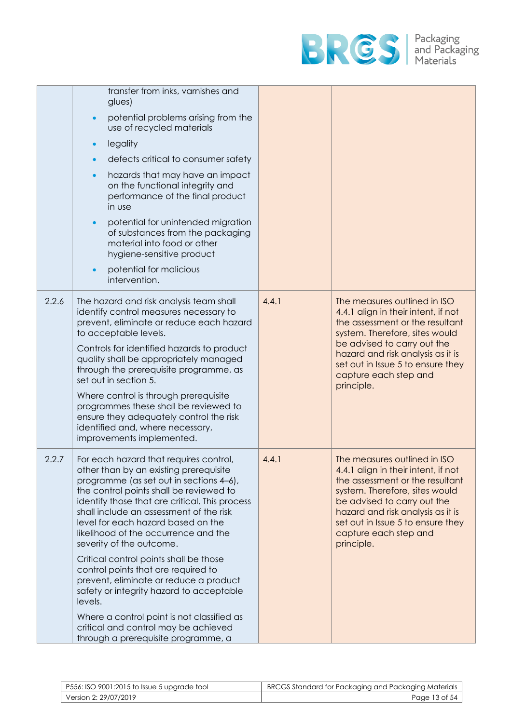

|       | transfer from inks, varnishes and<br>glues)                                                                                                                                                                                                                                                                                                                                                                                                                                                                     |       |                                                                                                                                                                                                                                                                                          |
|-------|-----------------------------------------------------------------------------------------------------------------------------------------------------------------------------------------------------------------------------------------------------------------------------------------------------------------------------------------------------------------------------------------------------------------------------------------------------------------------------------------------------------------|-------|------------------------------------------------------------------------------------------------------------------------------------------------------------------------------------------------------------------------------------------------------------------------------------------|
|       | potential problems arising from the<br>$\bullet$<br>use of recycled materials                                                                                                                                                                                                                                                                                                                                                                                                                                   |       |                                                                                                                                                                                                                                                                                          |
|       | legality<br>$\bullet$                                                                                                                                                                                                                                                                                                                                                                                                                                                                                           |       |                                                                                                                                                                                                                                                                                          |
|       | defects critical to consumer safety                                                                                                                                                                                                                                                                                                                                                                                                                                                                             |       |                                                                                                                                                                                                                                                                                          |
|       | hazards that may have an impact<br>$\bullet$<br>on the functional integrity and<br>performance of the final product<br>in use                                                                                                                                                                                                                                                                                                                                                                                   |       |                                                                                                                                                                                                                                                                                          |
|       | potential for unintended migration<br>$\bullet$<br>of substances from the packaging<br>material into food or other<br>hygiene-sensitive product                                                                                                                                                                                                                                                                                                                                                                 |       |                                                                                                                                                                                                                                                                                          |
|       | potential for malicious<br>$\bullet$<br>intervention.                                                                                                                                                                                                                                                                                                                                                                                                                                                           |       |                                                                                                                                                                                                                                                                                          |
| 2.2.6 | The hazard and risk analysis team shall<br>identify control measures necessary to<br>prevent, eliminate or reduce each hazard<br>to acceptable levels.<br>Controls for identified hazards to product<br>quality shall be appropriately managed<br>through the prerequisite programme, as<br>set out in section 5.<br>Where control is through prerequisite<br>programmes these shall be reviewed to<br>ensure they adequately control the risk<br>identified and, where necessary,<br>improvements implemented. | 4.4.1 | The measures outlined in ISO<br>4.4.1 align in their intent, if not<br>the assessment or the resultant<br>system. Therefore, sites would<br>be advised to carry out the<br>hazard and risk analysis as it is<br>set out in Issue 5 to ensure they<br>capture each step and<br>principle. |
| 2.2.7 | For each hazard that requires control,<br>other than by an existing prerequisite<br>programme (as set out in sections 4-6),<br>the control points shall be reviewed to<br>identify those that are critical. This process<br>shall include an assessment of the risk<br>level for each hazard based on the<br>likelihood of the occurrence and the<br>severity of the outcome.<br>Critical control points shall be those<br>control points that are required to<br>prevent, eliminate or reduce a product        | 4.4.1 | The measures outlined in ISO<br>4.4.1 align in their intent, if not<br>the assessment or the resultant<br>system. Therefore, sites would<br>be advised to carry out the<br>hazard and risk analysis as it is<br>set out in Issue 5 to ensure they<br>capture each step and<br>principle. |
|       | safety or integrity hazard to acceptable<br>levels.                                                                                                                                                                                                                                                                                                                                                                                                                                                             |       |                                                                                                                                                                                                                                                                                          |
|       | Where a control point is not classified as<br>critical and control may be achieved<br>through a prerequisite programme, a                                                                                                                                                                                                                                                                                                                                                                                       |       |                                                                                                                                                                                                                                                                                          |

| P556: ISO 9001:2015 to Issue 5 upgrade tool | BRCGS Standard for Packaging and Packaging Materials |
|---------------------------------------------|------------------------------------------------------|
| Version 2: 29/07/2019                       | Page 13 of 54                                        |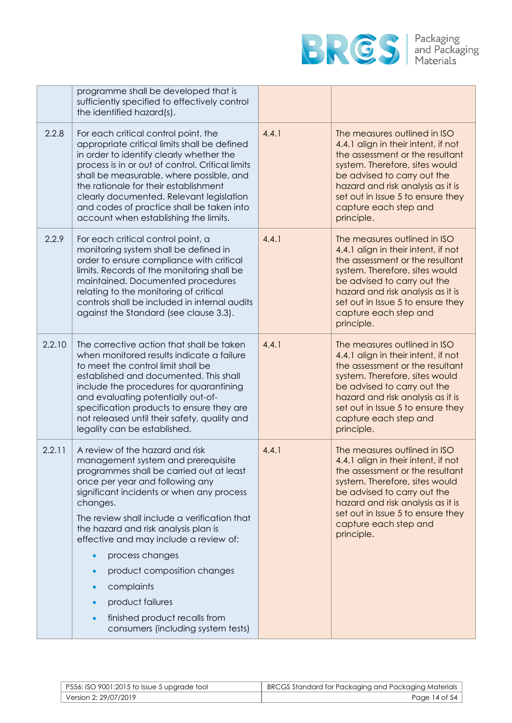

|        | programme shall be developed that is<br>sufficiently specified to effectively control<br>the identified hazard(s).                                                                                                                                                                                                                                                                                                                                                                                         |       |                                                                                                                                                                                                                                                                                          |
|--------|------------------------------------------------------------------------------------------------------------------------------------------------------------------------------------------------------------------------------------------------------------------------------------------------------------------------------------------------------------------------------------------------------------------------------------------------------------------------------------------------------------|-------|------------------------------------------------------------------------------------------------------------------------------------------------------------------------------------------------------------------------------------------------------------------------------------------|
| 2.2.8  | For each critical control point, the<br>appropriate critical limits shall be defined<br>in order to identify clearly whether the<br>process is in or out of control. Critical limits<br>shall be measurable, where possible, and<br>the rationale for their establishment<br>clearly documented. Relevant legislation<br>and codes of practice shall be taken into<br>account when establishing the limits.                                                                                                | 4.4.1 | The measures outlined in ISO<br>4.4.1 align in their intent, if not<br>the assessment or the resultant<br>system. Therefore, sites would<br>be advised to carry out the<br>hazard and risk analysis as it is<br>set out in Issue 5 to ensure they<br>capture each step and<br>principle. |
| 2.2.9  | For each critical control point, a<br>monitoring system shall be defined in<br>order to ensure compliance with critical<br>limits. Records of the monitoring shall be<br>maintained. Documented procedures<br>relating to the monitoring of critical<br>controls shall be included in internal audits<br>against the Standard (see clause 3.3).                                                                                                                                                            | 4.4.1 | The measures outlined in ISO<br>4.4.1 align in their intent, if not<br>the assessment or the resultant<br>system. Therefore, sites would<br>be advised to carry out the<br>hazard and risk analysis as it is<br>set out in Issue 5 to ensure they<br>capture each step and<br>principle. |
| 2.2.10 | The corrective action that shall be taken<br>when monitored results indicate a failure<br>to meet the control limit shall be<br>established and documented. This shall<br>include the procedures for quarantining<br>and evaluating potentially out-of-<br>specification products to ensure they are<br>not released until their safety, quality and<br>legality can be established.                                                                                                                       | 4.4.1 | The measures outlined in ISO<br>4.4.1 align in their intent, if not<br>the assessment or the resultant<br>system. Therefore, sites would<br>be advised to carry out the<br>hazard and risk analysis as it is<br>set out in Issue 5 to ensure they<br>capture each step and<br>principle. |
| 2.2.11 | A review of the hazard and risk<br>management system and prerequisite<br>programmes shall be carried out at least<br>once per year and following any<br>significant incidents or when any process<br>changes.<br>The review shall include a verification that<br>the hazard and risk analysis plan is<br>effective and may include a review of:<br>process changes<br>product composition changes<br>complaints<br>product failures<br>finished product recalls from<br>consumers (including system tests) | 4.4.1 | The measures outlined in ISO<br>4.4.1 align in their intent, if not<br>the assessment or the resultant<br>system. Therefore, sites would<br>be advised to carry out the<br>hazard and risk analysis as it is<br>set out in Issue 5 to ensure they<br>capture each step and<br>principle. |

| $\mid$ P556: ISO 9001:2015 to Issue 5 upgrade tool | BRCGS Standard for Packaging and Packaging Materials |
|----------------------------------------------------|------------------------------------------------------|
| Version 2: 29/07/2019                              | Page 14 of 54                                        |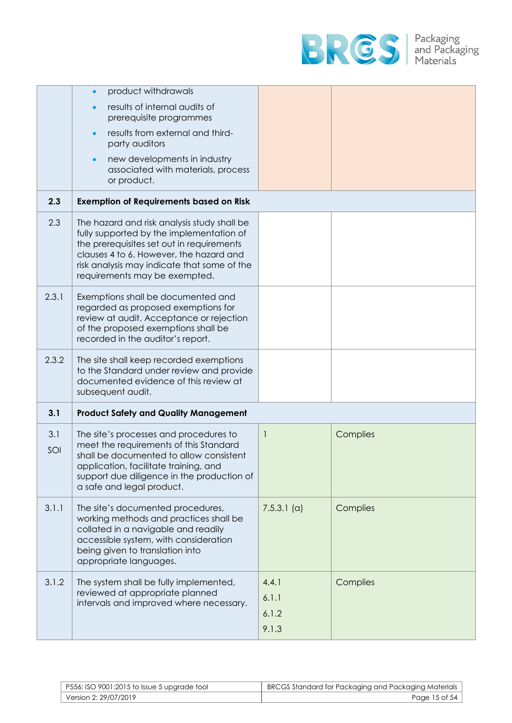

|            | product withdrawals<br>results of internal audits of<br>prerequisite programmes<br>results from external and third-<br>party auditors<br>new developments in industry<br>associated with materials, process<br>or product.                                      |                                  |          |
|------------|-----------------------------------------------------------------------------------------------------------------------------------------------------------------------------------------------------------------------------------------------------------------|----------------------------------|----------|
| 2.3        | <b>Exemption of Requirements based on Risk</b>                                                                                                                                                                                                                  |                                  |          |
| 2.3        | The hazard and risk analysis study shall be<br>fully supported by the implementation of<br>the prerequisites set out in requirements<br>clauses 4 to 6. However, the hazard and<br>risk analysis may indicate that some of the<br>requirements may be exempted. |                                  |          |
| 2.3.1      | Exemptions shall be documented and<br>regarded as proposed exemptions for<br>review at audit. Acceptance or rejection<br>of the proposed exemptions shall be<br>recorded in the auditor's report.                                                               |                                  |          |
| 2.3.2      | The site shall keep recorded exemptions<br>to the Standard under review and provide<br>documented evidence of this review at<br>subsequent audit.                                                                                                               |                                  |          |
| 3.1        | <b>Product Safety and Quality Management</b>                                                                                                                                                                                                                    |                                  |          |
| 3.1<br>SOI | The site's processes and procedures to<br>meet the requirements of this Standard<br>shall be documented to allow consistent<br>application, facilitate training, and<br>support due diligence in the production of<br>a safe and legal product.                 | $\mathbf{1}$                     | Complies |
| 3.1.1      | The site's documented procedures,<br>working methods and practices shall be<br>collated in a navigable and readily<br>accessible system, with consideration<br>being given to translation into<br>appropriate languages.                                        | $7.5.3.1$ (a)                    | Complies |
| 3.1.2      | The system shall be fully implemented,<br>reviewed at appropriate planned<br>intervals and improved where necessary.                                                                                                                                            | 4.4.1<br>6.1.1<br>6.1.2<br>9.1.3 | Complies |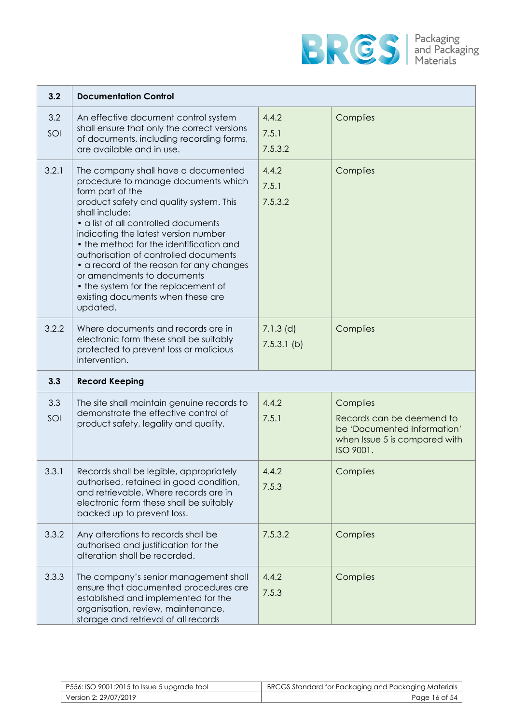

| 3.2        | <b>Documentation Control</b>                                                                                                                                                                                                                                                                                                                                                                                                                                                                      |                              |                                                                                                                    |
|------------|---------------------------------------------------------------------------------------------------------------------------------------------------------------------------------------------------------------------------------------------------------------------------------------------------------------------------------------------------------------------------------------------------------------------------------------------------------------------------------------------------|------------------------------|--------------------------------------------------------------------------------------------------------------------|
| 3.2<br>SOI | An effective document control system<br>shall ensure that only the correct versions<br>of documents, including recording forms,<br>are available and in use.                                                                                                                                                                                                                                                                                                                                      | 4.4.2<br>7.5.1<br>7.5.3.2    | Complies                                                                                                           |
| 3.2.1      | The company shall have a documented<br>procedure to manage documents which<br>form part of the<br>product safety and quality system. This<br>shall include:<br>• a list of all controlled documents<br>indicating the latest version number<br>• the method for the identification and<br>authorisation of controlled documents<br>• a record of the reason for any changes<br>or amendments to documents<br>• the system for the replacement of<br>existing documents when these are<br>updated. | 4.4.2<br>7.5.1<br>7.5.3.2    | Complies                                                                                                           |
| 3.2.2      | Where documents and records are in<br>electronic form these shall be suitably<br>protected to prevent loss or malicious<br>intervention.                                                                                                                                                                                                                                                                                                                                                          | $7.1.3$ (d)<br>$7.5.3.1$ (b) | Complies                                                                                                           |
| 3.3        | <b>Record Keeping</b>                                                                                                                                                                                                                                                                                                                                                                                                                                                                             |                              |                                                                                                                    |
| 3.3<br>SOI | The site shall maintain genuine records to<br>demonstrate the effective control of<br>product safety, legality and quality.                                                                                                                                                                                                                                                                                                                                                                       | 4.4.2<br>7.5.1               | Complies<br>Records can be deemend to<br>be 'Documented Information'<br>when Issue 5 is compared with<br>ISO 9001. |
| 3.3.1      | Records shall be legible, appropriately<br>authorised, retained in good condition,<br>and retrievable. Where records are in<br>electronic form these shall be suitably<br>backed up to prevent loss.                                                                                                                                                                                                                                                                                              | 4.4.2<br>7.5.3               | Complies                                                                                                           |
| 3.3.2      | Any alterations to records shall be<br>authorised and justification for the<br>alteration shall be recorded.                                                                                                                                                                                                                                                                                                                                                                                      | 7.5.3.2                      | Complies                                                                                                           |
| 3.3.3      | The company's senior management shall<br>ensure that documented procedures are<br>established and implemented for the<br>organisation, review, maintenance,<br>storage and retrieval of all records                                                                                                                                                                                                                                                                                               | 4.4.2<br>7.5.3               | Complies                                                                                                           |

| P556: ISO 9001:2015 to Issue 5 upgrade tool | BRCGS Standard for Packaging and Packaging Materials |
|---------------------------------------------|------------------------------------------------------|
| Version 2: 29/07/2019                       | Page 16 of 54                                        |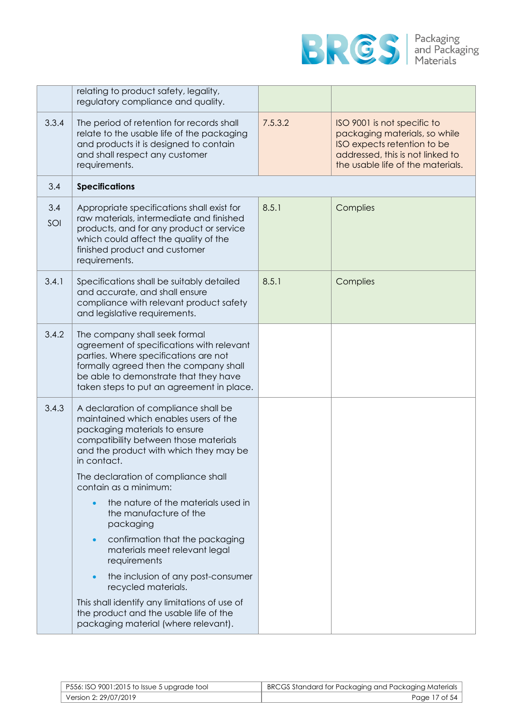

|            | relating to product safety, legality,<br>regulatory compliance and quality.                                                                                                                                                                             |         |                                                                                                                                                                      |
|------------|---------------------------------------------------------------------------------------------------------------------------------------------------------------------------------------------------------------------------------------------------------|---------|----------------------------------------------------------------------------------------------------------------------------------------------------------------------|
| 3.3.4      | The period of retention for records shall<br>relate to the usable life of the packaging<br>and products it is designed to contain<br>and shall respect any customer<br>requirements.                                                                    | 7.5.3.2 | ISO 9001 is not specific to<br>packaging materials, so while<br>ISO expects retention to be<br>addressed, this is not linked to<br>the usable life of the materials. |
| 3.4        | <b>Specifications</b>                                                                                                                                                                                                                                   |         |                                                                                                                                                                      |
| 3.4<br>SOI | Appropriate specifications shall exist for<br>raw materials, intermediate and finished<br>products, and for any product or service<br>which could affect the quality of the<br>finished product and customer<br>requirements.                           | 8.5.1   | Complies                                                                                                                                                             |
| 3.4.1      | Specifications shall be suitably detailed<br>and accurate, and shall ensure<br>compliance with relevant product safety<br>and legislative requirements.                                                                                                 | 8.5.1   | Complies                                                                                                                                                             |
| 3.4.2      | The company shall seek formal<br>agreement of specifications with relevant<br>parties. Where specifications are not<br>formally agreed then the company shall<br>be able to demonstrate that they have<br>taken steps to put an agreement in place.     |         |                                                                                                                                                                      |
| 3.4.3      | A declaration of compliance shall be<br>maintained which enables users of the<br>packaging materials to ensure<br>compatibility between those materials<br>and the product with which they may be<br>in contact.<br>The declaration of compliance shall |         |                                                                                                                                                                      |
|            | contain as a minimum:                                                                                                                                                                                                                                   |         |                                                                                                                                                                      |
|            | the nature of the materials used in<br>$\bullet$<br>the manufacture of the<br>packaging                                                                                                                                                                 |         |                                                                                                                                                                      |
|            | confirmation that the packaging<br>$\bullet$<br>materials meet relevant legal<br>requirements                                                                                                                                                           |         |                                                                                                                                                                      |
|            | the inclusion of any post-consumer<br>$\bullet$<br>recycled materials.                                                                                                                                                                                  |         |                                                                                                                                                                      |
|            | This shall identify any limitations of use of<br>the product and the usable life of the<br>packaging material (where relevant).                                                                                                                         |         |                                                                                                                                                                      |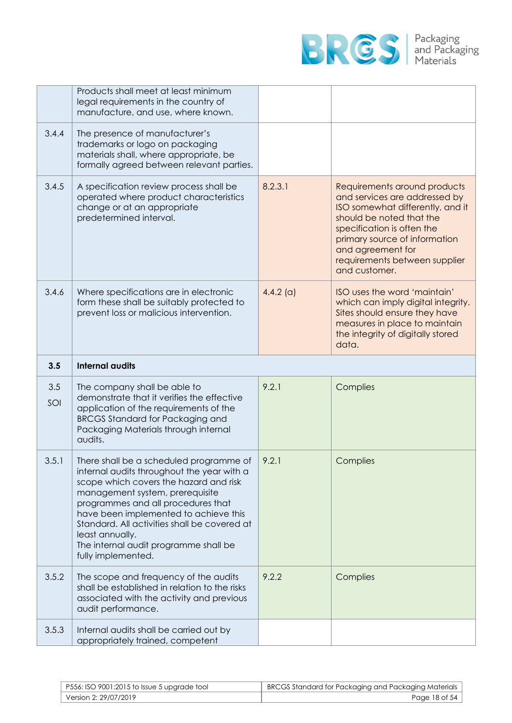

|            | Products shall meet at least minimum<br>legal requirements in the country of<br>manufacture, and use, where known.                                                                                                                                                                                                                                                                  |             |                                                                                                                                                                                                                                                                     |
|------------|-------------------------------------------------------------------------------------------------------------------------------------------------------------------------------------------------------------------------------------------------------------------------------------------------------------------------------------------------------------------------------------|-------------|---------------------------------------------------------------------------------------------------------------------------------------------------------------------------------------------------------------------------------------------------------------------|
| 3.4.4      | The presence of manufacturer's<br>trademarks or logo on packaging<br>materials shall, where appropriate, be<br>formally agreed between relevant parties.                                                                                                                                                                                                                            |             |                                                                                                                                                                                                                                                                     |
| 3.4.5      | A specification review process shall be<br>operated where product characteristics<br>change or at an appropriate<br>predetermined interval.                                                                                                                                                                                                                                         | 8.2.3.1     | Requirements around products<br>and services are addressed by<br>ISO somewhat differently, and it<br>should be noted that the<br>specification is often the<br>primary source of information<br>and agreement for<br>requirements between supplier<br>and customer. |
| 3.4.6      | Where specifications are in electronic<br>form these shall be suitably protected to<br>prevent loss or malicious intervention.                                                                                                                                                                                                                                                      | $4.4.2$ (a) | ISO uses the word 'maintain'<br>which can imply digital integrity.<br>Sites should ensure they have<br>measures in place to maintain<br>the integrity of digitally stored<br>data.                                                                                  |
| 3.5        | <b>Internal audits</b>                                                                                                                                                                                                                                                                                                                                                              |             |                                                                                                                                                                                                                                                                     |
|            |                                                                                                                                                                                                                                                                                                                                                                                     |             |                                                                                                                                                                                                                                                                     |
| 3.5<br>SOI | The company shall be able to<br>demonstrate that it verifies the effective<br>application of the requirements of the<br><b>BRCGS Standard for Packaging and</b><br>Packaging Materials through internal<br>audits.                                                                                                                                                                  | 9.2.1       | Complies                                                                                                                                                                                                                                                            |
| 3.5.1      | There shall be a scheduled programme of<br>internal audits throughout the year with a<br>scope which covers the hazard and risk<br>management system, prerequisite<br>programmes and all procedures that<br>have been implemented to achieve this<br>Standard. All activities shall be covered at<br>least annually.<br>The internal audit programme shall be<br>fully implemented. | 9.2.1       | Complies                                                                                                                                                                                                                                                            |
| 3.5.2      | The scope and frequency of the audits<br>shall be established in relation to the risks<br>associated with the activity and previous<br>audit performance.                                                                                                                                                                                                                           | 9.2.2       | Complies                                                                                                                                                                                                                                                            |

| $\mid$ P556: ISO 9001:2015 to Issue 5 upgrade tool | BRCGS Standard for Packaging and Packaging Materials |
|----------------------------------------------------|------------------------------------------------------|
| Version 2: 29/07/2019                              | Page 18 of 54                                        |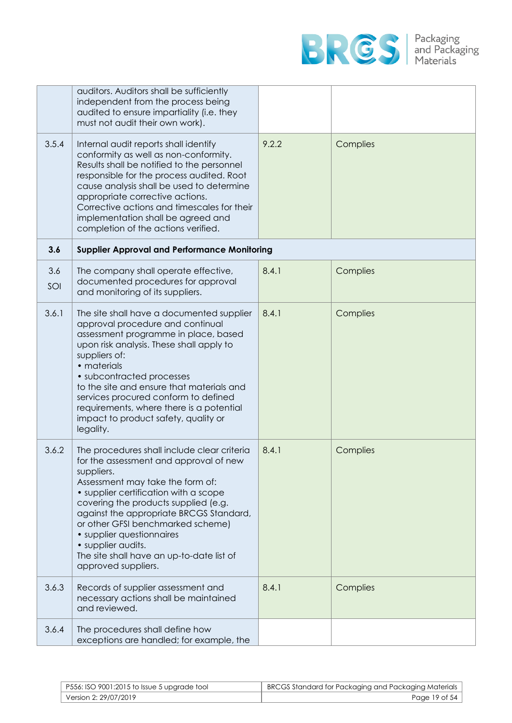

|            | auditors. Auditors shall be sufficiently<br>independent from the process being<br>audited to ensure impartiality (i.e. they<br>must not audit their own work).                                                                                                                                                                                                                                                                  |       |          |
|------------|---------------------------------------------------------------------------------------------------------------------------------------------------------------------------------------------------------------------------------------------------------------------------------------------------------------------------------------------------------------------------------------------------------------------------------|-------|----------|
| 3.5.4      | Internal audit reports shall identify<br>conformity as well as non-conformity.<br>Results shall be notified to the personnel<br>responsible for the process audited. Root<br>cause analysis shall be used to determine<br>appropriate corrective actions.<br>Corrective actions and timescales for their<br>implementation shall be agreed and<br>completion of the actions verified.                                           | 9.2.2 | Complies |
| 3.6        | <b>Supplier Approval and Performance Monitoring</b>                                                                                                                                                                                                                                                                                                                                                                             |       |          |
| 3.6<br>SOI | The company shall operate effective,<br>documented procedures for approval<br>and monitoring of its suppliers.                                                                                                                                                                                                                                                                                                                  | 8.4.1 | Complies |
| 3.6.1      | The site shall have a documented supplier<br>approval procedure and continual<br>assessment programme in place, based<br>upon risk analysis. These shall apply to<br>suppliers of:<br>• materials<br>• subcontracted processes<br>to the site and ensure that materials and<br>services procured conform to defined<br>requirements, where there is a potential<br>impact to product safety, quality or<br>legality.            | 8.4.1 | Complies |
| 3.6.2      | The procedures shall include clear criteria<br>for the assessment and approval of new<br>suppliers.<br>Assessment may take the form of:<br>• supplier certification with a scope<br>covering the products supplied (e.g.<br>against the appropriate BRCGS Standard,<br>or other GFSI benchmarked scheme)<br>• supplier questionnaires<br>• supplier audits.<br>The site shall have an up-to-date list of<br>approved suppliers. | 8.4.1 | Complies |
| 3.6.3      | Records of supplier assessment and<br>necessary actions shall be maintained<br>and reviewed.                                                                                                                                                                                                                                                                                                                                    | 8.4.1 | Complies |
| 3.6.4      | The procedures shall define how<br>exceptions are handled; for example, the                                                                                                                                                                                                                                                                                                                                                     |       |          |

| $\mid$ P556: ISO 9001:2015 to Issue 5 upgrade tool | BRCGS Standard for Packaging and Packaging Materials |
|----------------------------------------------------|------------------------------------------------------|
| Version 2: 29/07/2019                              | Page 19 of 54                                        |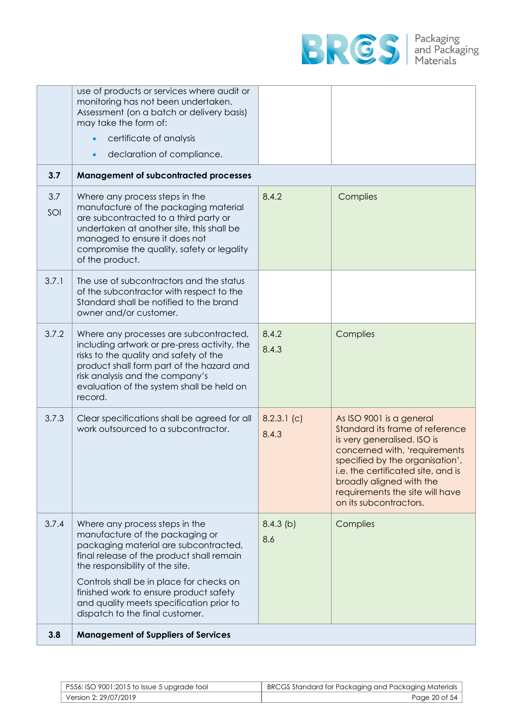

| 3.8        | <b>Management of Suppliers of Services</b>                                                                                                                                                                                                                                                                                                                      |                        |                                                                                                                                                                                                                                                                                               |
|------------|-----------------------------------------------------------------------------------------------------------------------------------------------------------------------------------------------------------------------------------------------------------------------------------------------------------------------------------------------------------------|------------------------|-----------------------------------------------------------------------------------------------------------------------------------------------------------------------------------------------------------------------------------------------------------------------------------------------|
| 3.7.4      | Where any process steps in the<br>manufacture of the packaging or<br>packaging material are subcontracted,<br>final release of the product shall remain<br>the responsibility of the site.<br>Controls shall be in place for checks on<br>finished work to ensure product safety<br>and quality meets specification prior to<br>dispatch to the final customer. | $8.4.3$ (b)<br>8.6     | Complies                                                                                                                                                                                                                                                                                      |
| 3.7.3      | Clear specifications shall be agreed for all<br>work outsourced to a subcontractor.                                                                                                                                                                                                                                                                             | $8.2.3.1$ (c)<br>8.4.3 | As ISO 9001 is a general<br>Standard its frame of reference<br>is very generalised. ISO is<br>concerned with, 'requirements<br>specified by the organisation',<br>i.e. the certificated site, and is<br>broadly aligned with the<br>requirements the site will have<br>on its subcontractors. |
| 3.7.2      | Where any processes are subcontracted,<br>including artwork or pre-press activity, the<br>risks to the quality and safety of the<br>product shall form part of the hazard and<br>risk analysis and the company's<br>evaluation of the system shall be held on<br>record.                                                                                        | 8.4.2<br>8.4.3         | Complies                                                                                                                                                                                                                                                                                      |
| 3.7.1      | The use of subcontractors and the status<br>of the subcontractor with respect to the<br>Standard shall be notified to the brand<br>owner and/or customer.                                                                                                                                                                                                       |                        |                                                                                                                                                                                                                                                                                               |
| 3.7<br>SOI | Where any process steps in the<br>manufacture of the packaging material<br>are subcontracted to a third party or<br>undertaken at another site, this shall be<br>managed to ensure it does not<br>compromise the quality, safety or legality<br>of the product.                                                                                                 | 8.4.2                  | Complies                                                                                                                                                                                                                                                                                      |
| 3.7        | <b>Management of subcontracted processes</b>                                                                                                                                                                                                                                                                                                                    |                        |                                                                                                                                                                                                                                                                                               |
|            | declaration of compliance.                                                                                                                                                                                                                                                                                                                                      |                        |                                                                                                                                                                                                                                                                                               |
|            | certificate of analysis                                                                                                                                                                                                                                                                                                                                         |                        |                                                                                                                                                                                                                                                                                               |
|            | use of products or services where audit or<br>monitoring has not been undertaken.<br>Assessment (on a batch or delivery basis)<br>may take the form of:                                                                                                                                                                                                         |                        |                                                                                                                                                                                                                                                                                               |

| $\mid$ P556: ISO 9001:2015 to Issue 5 upgrade tool | BRCGS Standard for Packaging and Packaging Materials |
|----------------------------------------------------|------------------------------------------------------|
| Version 2: 29/07/2019 '                            | Page 20 of 54                                        |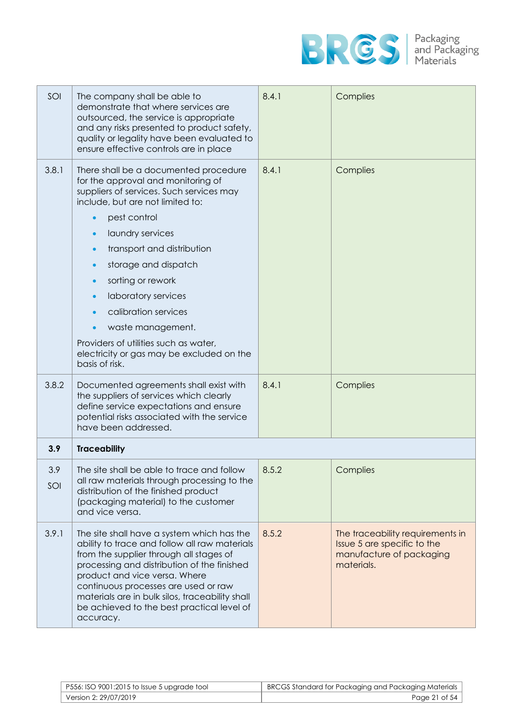

| SOI        | The company shall be able to<br>demonstrate that where services are<br>outsourced, the service is appropriate<br>and any risks presented to product safety,<br>quality or legality have been evaluated to<br>ensure effective controls are in place                                                                                                                                                                                                    | 8.4.1 | Complies                                                                                                  |
|------------|--------------------------------------------------------------------------------------------------------------------------------------------------------------------------------------------------------------------------------------------------------------------------------------------------------------------------------------------------------------------------------------------------------------------------------------------------------|-------|-----------------------------------------------------------------------------------------------------------|
| 3.8.1      | There shall be a documented procedure<br>for the approval and monitoring of<br>suppliers of services. Such services may<br>include, but are not limited to:<br>pest control<br>laundry services<br>transport and distribution<br>storage and dispatch<br>sorting or rework<br>laboratory services<br>calibration services<br>waste management.<br>Providers of utilities such as water,<br>electricity or gas may be excluded on the<br>basis of risk. | 8.4.1 | Complies                                                                                                  |
| 3.8.2      | Documented agreements shall exist with<br>the suppliers of services which clearly<br>define service expectations and ensure<br>potential risks associated with the service<br>have been addressed.                                                                                                                                                                                                                                                     | 8.4.1 | Complies                                                                                                  |
| 3.9        | <b>Traceability</b>                                                                                                                                                                                                                                                                                                                                                                                                                                    |       |                                                                                                           |
| 3.9<br>SOI | The site shall be able to trace and follow<br>all raw materials through processing to the<br>distribution of the finished product<br>(packaging material) to the customer<br>and vice versa.                                                                                                                                                                                                                                                           | 8.5.2 | Complies                                                                                                  |
| 3.9.1      | The site shall have a system which has the<br>ability to trace and follow all raw materials<br>from the supplier through all stages of<br>processing and distribution of the finished<br>product and vice versa. Where<br>continuous processes are used or raw<br>materials are in bulk silos, traceability shall<br>be achieved to the best practical level of<br>accuracy.                                                                           | 8.5.2 | The traceability requirements in<br>Issue 5 are specific to the<br>manufacture of packaging<br>materials. |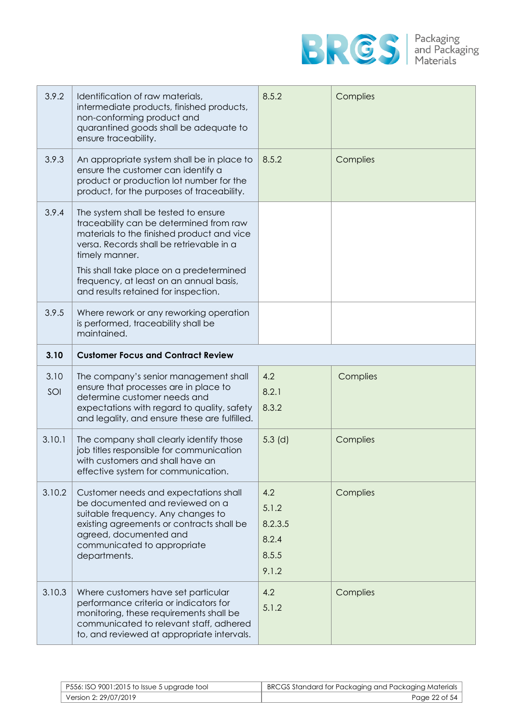

| 3.9.2       | Identification of raw materials,<br>intermediate products, finished products,<br>non-conforming product and<br>quarantined goods shall be adequate to<br>ensure traceability.                                                                                                                                              | 8.5.2                                              | Complies |
|-------------|----------------------------------------------------------------------------------------------------------------------------------------------------------------------------------------------------------------------------------------------------------------------------------------------------------------------------|----------------------------------------------------|----------|
| 3.9.3       | An appropriate system shall be in place to<br>ensure the customer can identify a<br>product or production lot number for the<br>product, for the purposes of traceability.                                                                                                                                                 | 8.5.2                                              | Complies |
| 3.9.4       | The system shall be tested to ensure<br>traceability can be determined from raw<br>materials to the finished product and vice<br>versa. Records shall be retrievable in a<br>timely manner.<br>This shall take place on a predetermined<br>frequency, at least on an annual basis,<br>and results retained for inspection. |                                                    |          |
| 3.9.5       | Where rework or any reworking operation<br>is performed, traceability shall be<br>maintained.                                                                                                                                                                                                                              |                                                    |          |
| 3.10        | <b>Customer Focus and Contract Review</b>                                                                                                                                                                                                                                                                                  |                                                    |          |
| 3.10<br>SOI | The company's senior management shall<br>ensure that processes are in place to<br>determine customer needs and<br>expectations with regard to quality, safety<br>and legality, and ensure these are fulfilled.                                                                                                             | 4.2<br>8.2.1<br>8.3.2                              | Complies |
| 3.10.1      | The company shall clearly identify those<br>job titles responsible for communication<br>with customers and shall have an<br>effective system for communication.                                                                                                                                                            | $5.3$ (d)                                          | Complies |
| 3.10.2      | Customer needs and expectations shall<br>be documented and reviewed on a<br>suitable frequency. Any changes to<br>existing agreements or contracts shall be<br>agreed, documented and<br>communicated to appropriate<br>departments.                                                                                       | 4.2<br>5.1.2<br>8.2.3.5<br>8.2.4<br>8.5.5<br>9.1.2 | Complies |
| 3.10.3      | Where customers have set particular<br>performance criteria or indicators for<br>monitoring, these requirements shall be<br>communicated to relevant staff, adhered<br>to, and reviewed at appropriate intervals.                                                                                                          | 4.2<br>5.1.2                                       | Complies |

| P556: ISO 9001:2015 to Issue 5 upgrade tool | BRCGS Standard for Packaging and Packaging Materials |
|---------------------------------------------|------------------------------------------------------|
| Version 2: 29/07/2019                       | Page 22 of 54                                        |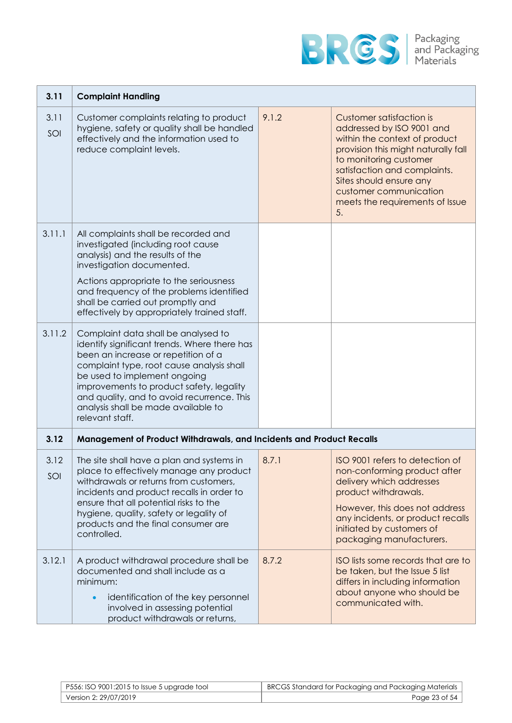

| 3.11        | <b>Complaint Handling</b>                                                                                                                                                                                                                                                                                                                                   |       |                                                                                                                                                                                                                                                                                              |
|-------------|-------------------------------------------------------------------------------------------------------------------------------------------------------------------------------------------------------------------------------------------------------------------------------------------------------------------------------------------------------------|-------|----------------------------------------------------------------------------------------------------------------------------------------------------------------------------------------------------------------------------------------------------------------------------------------------|
| 3.11<br>SOI | Customer complaints relating to product<br>hygiene, safety or quality shall be handled<br>effectively and the information used to<br>reduce complaint levels.                                                                                                                                                                                               | 9.1.2 | <b>Customer satisfaction is</b><br>addressed by ISO 9001 and<br>within the context of product<br>provision this might naturally fall<br>to monitoring customer<br>satisfaction and complaints.<br>Sites should ensure any<br>customer communication<br>meets the requirements of Issue<br>5. |
| 3.11.1      | All complaints shall be recorded and<br>investigated (including root cause<br>analysis) and the results of the<br>investigation documented.<br>Actions appropriate to the seriousness<br>and frequency of the problems identified<br>shall be carried out promptly and<br>effectively by appropriately trained staff.                                       |       |                                                                                                                                                                                                                                                                                              |
| 3.11.2      | Complaint data shall be analysed to<br>identify significant trends. Where there has<br>been an increase or repetition of a<br>complaint type, root cause analysis shall<br>be used to implement ongoing<br>improvements to product safety, legality<br>and quality, and to avoid recurrence. This<br>analysis shall be made available to<br>relevant staff. |       |                                                                                                                                                                                                                                                                                              |
| 3.12        | Management of Product Withdrawals, and Incidents and Product Recalls                                                                                                                                                                                                                                                                                        |       |                                                                                                                                                                                                                                                                                              |
| 3.12<br>SOI | The site shall have a plan and systems in<br>place to effectively manage any product<br>withdrawals or returns from customers,<br>incidents and product recalls in order to<br>ensure that all potential risks to the<br>hygiene, quality, safety or legality of<br>products and the final consumer are<br>controlled.                                      | 8.7.1 | ISO 9001 refers to detection of<br>non-conforming product after<br>delivery which addresses<br>product withdrawals.<br>However, this does not address<br>any incidents, or product recalls<br>initiated by customers of<br>packaging manufacturers.                                          |
| 3.12.1      | A product withdrawal procedure shall be<br>documented and shall include as a<br>minimum:<br>identification of the key personnel<br>$\bullet$<br>involved in assessing potential<br>product withdrawals or returns,                                                                                                                                          | 8.7.2 | ISO lists some records that are to<br>be taken, but the Issue 5 list<br>differs in including information<br>about anyone who should be<br>communicated with.                                                                                                                                 |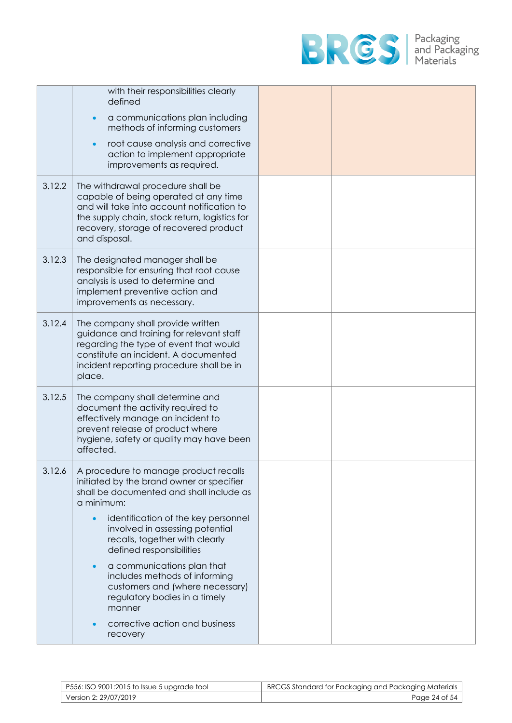

|        | with their responsibilities clearly<br>defined                                                                                                                                                                                       |  |
|--------|--------------------------------------------------------------------------------------------------------------------------------------------------------------------------------------------------------------------------------------|--|
|        | a communications plan including<br>methods of informing customers                                                                                                                                                                    |  |
|        | root cause analysis and corrective<br>action to implement appropriate<br>improvements as required.                                                                                                                                   |  |
| 3.12.2 | The withdrawal procedure shall be<br>capable of being operated at any time<br>and will take into account notification to<br>the supply chain, stock return, logistics for<br>recovery, storage of recovered product<br>and disposal. |  |
| 3.12.3 | The designated manager shall be<br>responsible for ensuring that root cause<br>analysis is used to determine and<br>implement preventive action and<br>improvements as necessary.                                                    |  |
| 3.12.4 | The company shall provide written<br>guidance and training for relevant staff<br>regarding the type of event that would<br>constitute an incident. A documented<br>incident reporting procedure shall be in<br>place.                |  |
| 3.12.5 | The company shall determine and<br>document the activity required to<br>effectively manage an incident to<br>prevent release of product where<br>hygiene, safety or quality may have been<br>affected.                               |  |
| 3.12.6 | A procedure to manage product recalls<br>initiated by the brand owner or specifier<br>shall be documented and shall include as<br>a minimum:                                                                                         |  |
|        | identification of the key personnel<br>$\bullet$<br>involved in assessing potential<br>recalls, together with clearly<br>defined responsibilities                                                                                    |  |
|        | a communications plan that<br>includes methods of informing<br>customers and (where necessary)<br>regulatory bodies in a timely<br>manner                                                                                            |  |
|        | corrective action and business<br>recovery                                                                                                                                                                                           |  |

| P556: ISO 9001:2015 to Issue 5 upgrade tool | BRCGS Standard for Packaging and Packaging Materials |
|---------------------------------------------|------------------------------------------------------|
| Version 2: 29/07/2019                       | Page 24 of 54                                        |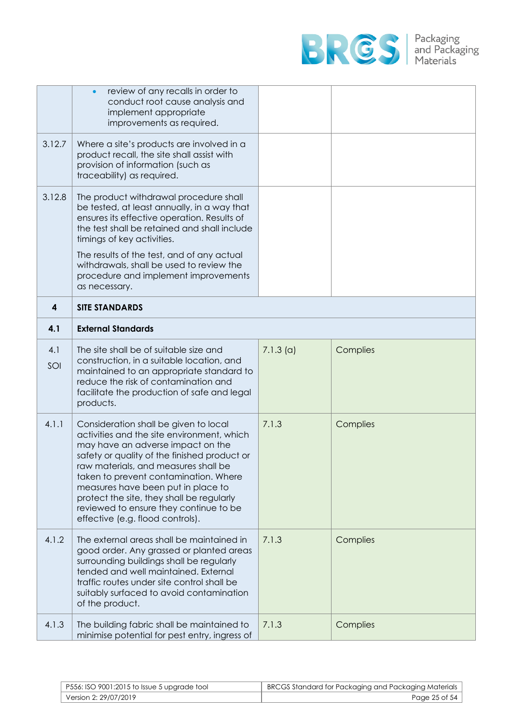

|            | review of any recalls in order to<br>$\bullet$<br>conduct root cause analysis and<br>implement appropriate<br>improvements as required.                                                                                                                                                                                                                                                                                    |             |          |
|------------|----------------------------------------------------------------------------------------------------------------------------------------------------------------------------------------------------------------------------------------------------------------------------------------------------------------------------------------------------------------------------------------------------------------------------|-------------|----------|
| 3.12.7     | Where a site's products are involved in a<br>product recall, the site shall assist with<br>provision of information (such as<br>traceability) as required.                                                                                                                                                                                                                                                                 |             |          |
| 3.12.8     | The product withdrawal procedure shall<br>be tested, at least annually, in a way that<br>ensures its effective operation. Results of<br>the test shall be retained and shall include<br>timings of key activities.                                                                                                                                                                                                         |             |          |
|            | The results of the test, and of any actual<br>withdrawals, shall be used to review the<br>procedure and implement improvements<br>as necessary.                                                                                                                                                                                                                                                                            |             |          |
| 4          | <b>SITE STANDARDS</b>                                                                                                                                                                                                                                                                                                                                                                                                      |             |          |
| 4.1        | <b>External Standards</b>                                                                                                                                                                                                                                                                                                                                                                                                  |             |          |
| 4.1<br>SOI | The site shall be of suitable size and<br>construction, in a suitable location, and<br>maintained to an appropriate standard to<br>reduce the risk of contamination and<br>facilitate the production of safe and legal<br>products.                                                                                                                                                                                        | $7.1.3$ (a) | Complies |
| 4.1.1      | Consideration shall be given to local<br>activities and the site environment, which<br>may have an adverse impact on the<br>safety or quality of the finished product or<br>raw materials, and measures shall be<br>taken to prevent contamination. Where<br>measures have been put in place to<br>protect the site, they shall be regularly<br>reviewed to ensure they continue to be<br>effective (e.g. flood controls). | 7.1.3       | Complies |
| 4.1.2      | The external areas shall be maintained in<br>good order. Any grassed or planted areas<br>surrounding buildings shall be regularly<br>tended and well maintained. External<br>traffic routes under site control shall be<br>suitably surfaced to avoid contamination<br>of the product.                                                                                                                                     | 7.1.3       | Complies |
| 4.1.3      |                                                                                                                                                                                                                                                                                                                                                                                                                            |             |          |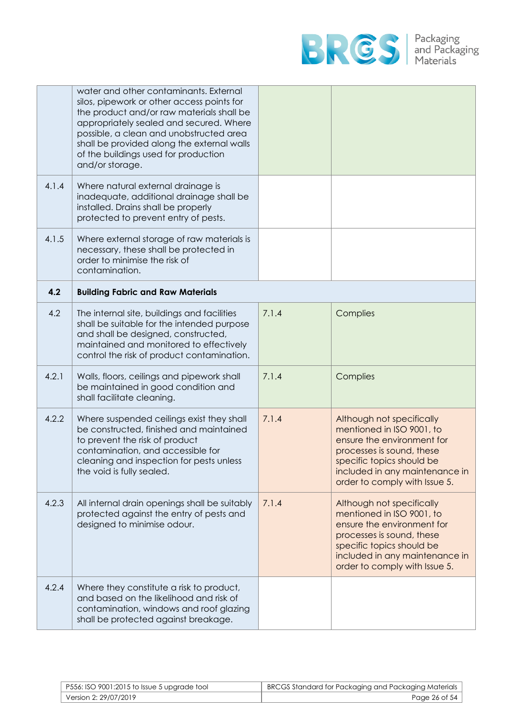

|       | water and other contaminants. External<br>silos, pipework or other access points for<br>the product and/or raw materials shall be<br>appropriately sealed and secured. Where<br>possible, a clean and unobstructed area<br>shall be provided along the external walls<br>of the buildings used for production<br>and/or storage. |       |                                                                                                                                                                                                                   |
|-------|----------------------------------------------------------------------------------------------------------------------------------------------------------------------------------------------------------------------------------------------------------------------------------------------------------------------------------|-------|-------------------------------------------------------------------------------------------------------------------------------------------------------------------------------------------------------------------|
| 4.1.4 | Where natural external drainage is<br>inadequate, additional drainage shall be<br>installed. Drains shall be properly<br>protected to prevent entry of pests.                                                                                                                                                                    |       |                                                                                                                                                                                                                   |
| 4.1.5 | Where external storage of raw materials is<br>necessary, these shall be protected in<br>order to minimise the risk of<br>contamination.                                                                                                                                                                                          |       |                                                                                                                                                                                                                   |
| 4.2   | <b>Building Fabric and Raw Materials</b>                                                                                                                                                                                                                                                                                         |       |                                                                                                                                                                                                                   |
| 4.2   | The internal site, buildings and facilities<br>shall be suitable for the intended purpose<br>and shall be designed, constructed,<br>maintained and monitored to effectively<br>control the risk of product contamination.                                                                                                        | 7.1.4 | Complies                                                                                                                                                                                                          |
| 4.2.1 | Walls, floors, ceilings and pipework shall<br>be maintained in good condition and<br>shall facilitate cleaning.                                                                                                                                                                                                                  | 7.1.4 | Complies                                                                                                                                                                                                          |
| 4.2.2 | Where suspended ceilings exist they shall<br>be constructed, finished and maintained<br>to prevent the risk of product<br>contamination, and accessible for<br>cleaning and inspection for pests unless<br>the void is fully sealed.                                                                                             | 7.1.4 | Although not specifically<br>mentioned in ISO 9001, to<br>ensure the environment for<br>processes is sound, these<br>specific topics should be<br>included in any maintenance in<br>order to comply with Issue 5. |
| 4.2.3 | All internal drain openings shall be suitably<br>protected against the entry of pests and<br>designed to minimise odour.                                                                                                                                                                                                         | 7.1.4 | Although not specifically<br>mentioned in ISO 9001, to<br>ensure the environment for<br>processes is sound, these<br>specific topics should be<br>included in any maintenance in<br>order to comply with Issue 5. |
| 4.2.4 | Where they constitute a risk to product,<br>and based on the likelihood and risk of<br>contamination, windows and roof glazing<br>shall be protected against breakage.                                                                                                                                                           |       |                                                                                                                                                                                                                   |

| P556: ISO 9001:2015 to Issue 5 upgrade tool | BRCGS Standard for Packaging and Packaging Materials |
|---------------------------------------------|------------------------------------------------------|
| Version 2: 29/07/2019                       | Page 26 of 54                                        |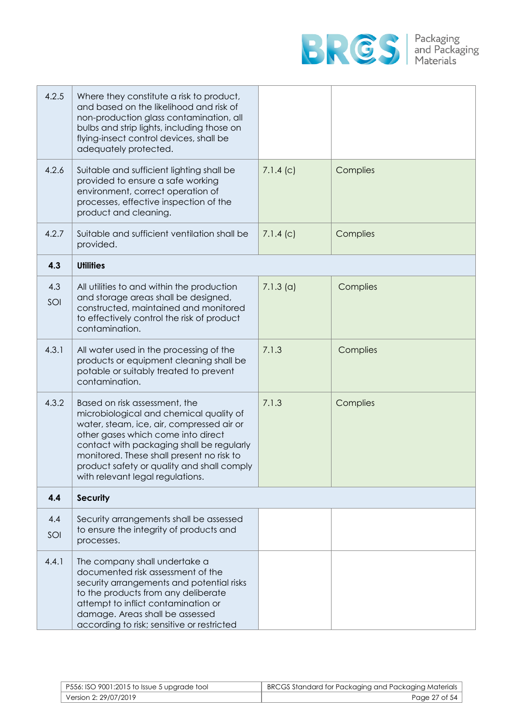

| 4.2.5      | Where they constitute a risk to product,<br>and based on the likelihood and risk of<br>non-production glass contamination, all<br>bulbs and strip lights, including those on<br>flying-insect control devices, shall be<br>adequately protected.                                                                                        |             |          |
|------------|-----------------------------------------------------------------------------------------------------------------------------------------------------------------------------------------------------------------------------------------------------------------------------------------------------------------------------------------|-------------|----------|
| 4.2.6      | Suitable and sufficient lighting shall be<br>provided to ensure a safe working<br>environment, correct operation of<br>processes, effective inspection of the<br>product and cleaning.                                                                                                                                                  | 7.1.4(c)    | Complies |
| 4.2.7      | Suitable and sufficient ventilation shall be<br>provided.                                                                                                                                                                                                                                                                               | 7.1.4(c)    | Complies |
| 4.3        | <b>Utilities</b>                                                                                                                                                                                                                                                                                                                        |             |          |
| 4.3<br>SOI | All utilities to and within the production<br>and storage areas shall be designed,<br>constructed, maintained and monitored<br>to effectively control the risk of product<br>contamination.                                                                                                                                             | $7.1.3$ (a) | Complies |
| 4.3.1      | All water used in the processing of the<br>products or equipment cleaning shall be<br>potable or suitably treated to prevent<br>contamination.                                                                                                                                                                                          | 7.1.3       | Complies |
| 4.3.2      | Based on risk assessment, the<br>microbiological and chemical quality of<br>water, steam, ice, air, compressed air or<br>other gases which come into direct<br>contact with packaging shall be regularly<br>monitored. These shall present no risk to<br>product safety or quality and shall comply<br>with relevant legal regulations. | 7.1.3       | Complies |
| 4.4        | <b>Security</b>                                                                                                                                                                                                                                                                                                                         |             |          |
| 4.4<br>SOI | Security arrangements shall be assessed<br>to ensure the integrity of products and<br>processes.                                                                                                                                                                                                                                        |             |          |
| 4.4.1      | The company shall undertake a<br>documented risk assessment of the<br>security arrangements and potential risks<br>to the products from any deliberate<br>attempt to inflict contamination or<br>damage. Areas shall be assessed<br>according to risk; sensitive or restricted                                                          |             |          |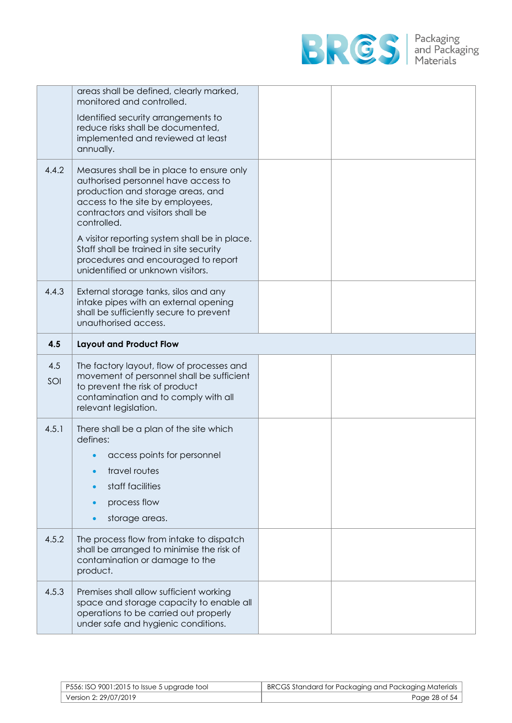

|       | areas shall be defined, clearly marked,<br>monitored and controlled.<br>Identified security arrangements to<br>reduce risks shall be documented,<br>implemented and reviewed at least<br>annually.                                                                                                                                                                                    |  |
|-------|---------------------------------------------------------------------------------------------------------------------------------------------------------------------------------------------------------------------------------------------------------------------------------------------------------------------------------------------------------------------------------------|--|
| 4.4.2 | Measures shall be in place to ensure only<br>authorised personnel have access to<br>production and storage areas, and<br>access to the site by employees,<br>contractors and visitors shall be<br>controlled.<br>A visitor reporting system shall be in place.<br>Staff shall be trained in site security<br>procedures and encouraged to report<br>unidentified or unknown visitors. |  |
| 4.4.3 | External storage tanks, silos and any<br>intake pipes with an external opening<br>shall be sufficiently secure to prevent<br>unauthorised access.                                                                                                                                                                                                                                     |  |
| 4.5   | <b>Layout and Product Flow</b>                                                                                                                                                                                                                                                                                                                                                        |  |
| 4.5   |                                                                                                                                                                                                                                                                                                                                                                                       |  |
| SOI   | The factory layout, flow of processes and<br>movement of personnel shall be sufficient<br>to prevent the risk of product<br>contamination and to comply with all<br>relevant legislation.                                                                                                                                                                                             |  |
| 4.5.1 | There shall be a plan of the site which<br>defines:<br>access points for personnel<br>travel routes<br>staff facilities<br>process flow<br>storage areas.                                                                                                                                                                                                                             |  |
| 4.5.2 | The process flow from intake to dispatch<br>shall be arranged to minimise the risk of<br>contamination or damage to the<br>product.                                                                                                                                                                                                                                                   |  |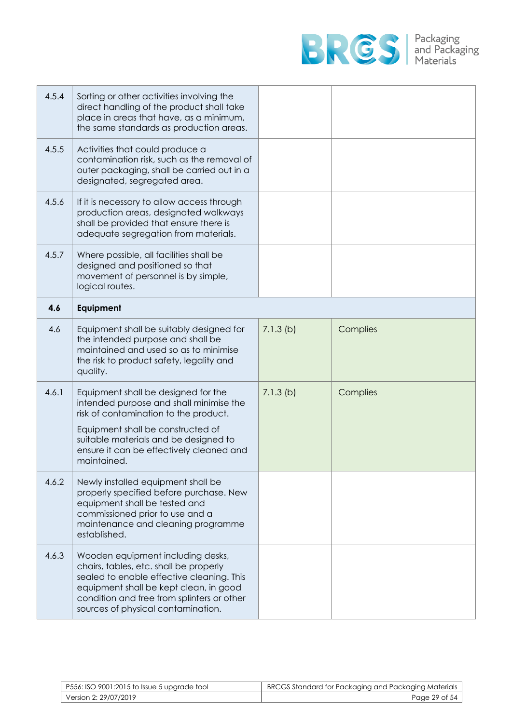

| 4.5.4 | Sorting or other activities involving the<br>direct handling of the product shall take<br>place in areas that have, as a minimum,<br>the same standards as production areas.                                                                                     |             |          |
|-------|------------------------------------------------------------------------------------------------------------------------------------------------------------------------------------------------------------------------------------------------------------------|-------------|----------|
| 4.5.5 | Activities that could produce a<br>contamination risk, such as the removal of<br>outer packaging, shall be carried out in a<br>designated, segregated area.                                                                                                      |             |          |
| 4.5.6 | If it is necessary to allow access through<br>production areas, designated walkways<br>shall be provided that ensure there is<br>adequate segregation from materials.                                                                                            |             |          |
| 4.5.7 | Where possible, all facilities shall be<br>designed and positioned so that<br>movement of personnel is by simple,<br>logical routes.                                                                                                                             |             |          |
| 4.6   | Equipment                                                                                                                                                                                                                                                        |             |          |
| 4.6   | Equipment shall be suitably designed for<br>the intended purpose and shall be<br>maintained and used so as to minimise<br>the risk to product safety, legality and<br>quality.                                                                                   | $7.1.3$ (b) | Complies |
| 4.6.1 | Equipment shall be designed for the<br>intended purpose and shall minimise the<br>risk of contamination to the product.<br>Equipment shall be constructed of<br>suitable materials and be designed to<br>ensure it can be effectively cleaned and<br>maintained. | $7.1.3$ (b) | Complies |
| 4.6.2 | Newly installed equipment shall be<br>properly specified before purchase. New<br>equipment shall be tested and<br>commissioned prior to use and a<br>maintenance and cleaning programme<br>established.                                                          |             |          |
| 4.6.3 | Wooden equipment including desks,<br>chairs, tables, etc. shall be properly<br>sealed to enable effective cleaning. This<br>equipment shall be kept clean, in good<br>condition and free from splinters or other<br>sources of physical contamination.           |             |          |

| P556: ISO 9001:2015 to Issue 5 upgrade tool | BRCGS Standard for Packaging and Packaging Materials |
|---------------------------------------------|------------------------------------------------------|
| Version 2: 29/07/2019                       | Page 29 of 54                                        |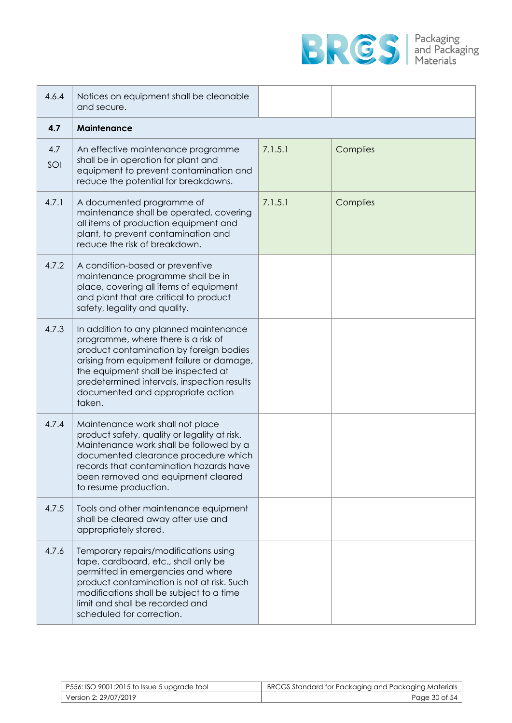

| 4.6.4      | Notices on equipment shall be cleanable<br>and secure.                                                                                                                                                                                                                                                     |         |          |
|------------|------------------------------------------------------------------------------------------------------------------------------------------------------------------------------------------------------------------------------------------------------------------------------------------------------------|---------|----------|
| 4.7        | Maintenance                                                                                                                                                                                                                                                                                                |         |          |
| 4.7<br>SOI | An effective maintenance programme<br>shall be in operation for plant and<br>equipment to prevent contamination and<br>reduce the potential for breakdowns.                                                                                                                                                | 7.1.5.1 | Complies |
| 4.7.1      | A documented programme of<br>maintenance shall be operated, covering<br>all items of production equipment and<br>plant, to prevent contamination and<br>reduce the risk of breakdown.                                                                                                                      | 7.1.5.1 | Complies |
| 4.7.2      | A condition-based or preventive<br>maintenance programme shall be in<br>place, covering all items of equipment<br>and plant that are critical to product<br>safety, legality and quality.                                                                                                                  |         |          |
| 4.7.3      | In addition to any planned maintenance<br>programme, where there is a risk of<br>product contamination by foreign bodies<br>arising from equipment failure or damage,<br>the equipment shall be inspected at<br>predetermined intervals, inspection results<br>documented and appropriate action<br>taken. |         |          |
| 4.7.4      | Maintenance work shall not place<br>product safety, quality or legality at risk.<br>Maintenance work shall be followed by a<br>documented clearance procedure which<br>records that contamination hazards have<br>been removed and equipment cleared<br>to resume production.                              |         |          |
| 4.7.5      | Tools and other maintenance equipment<br>shall be cleared away after use and<br>appropriately stored.                                                                                                                                                                                                      |         |          |
| 4.7.6      | Temporary repairs/modifications using<br>tape, cardboard, etc., shall only be<br>permitted in emergencies and where<br>product contamination is not at risk. Such<br>modifications shall be subject to a time<br>limit and shall be recorded and<br>scheduled for correction.                              |         |          |

| P556: ISO 9001:2015 to Issue 5 upgrade tool | BRCGS Standard for Packaging and Packaging Materials |
|---------------------------------------------|------------------------------------------------------|
| Version 2: 29/07/2019                       | Page 30 of 54                                        |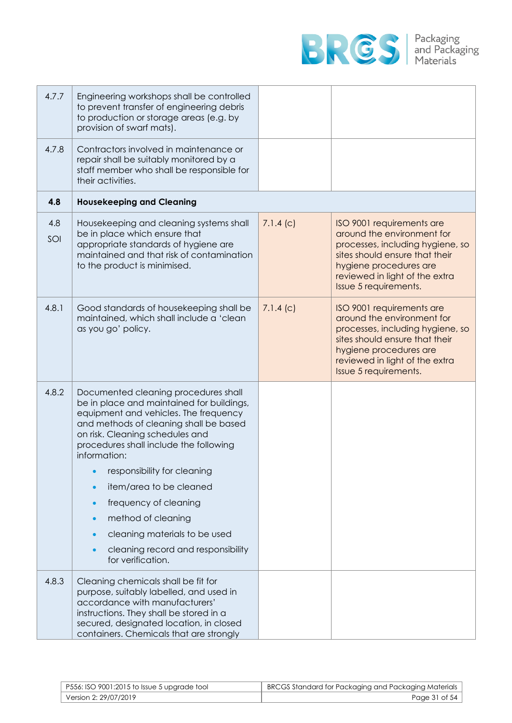

| 4.7.7      | Engineering workshops shall be controlled<br>to prevent transfer of engineering debris<br>to production or storage areas (e.g. by<br>provision of swarf mats).                                                                                                                                                                                                                                                                                                         |          |                                                                                                                                                                                                                    |
|------------|------------------------------------------------------------------------------------------------------------------------------------------------------------------------------------------------------------------------------------------------------------------------------------------------------------------------------------------------------------------------------------------------------------------------------------------------------------------------|----------|--------------------------------------------------------------------------------------------------------------------------------------------------------------------------------------------------------------------|
| 4.7.8      | Contractors involved in maintenance or<br>repair shall be suitably monitored by a<br>staff member who shall be responsible for<br>their activities.                                                                                                                                                                                                                                                                                                                    |          |                                                                                                                                                                                                                    |
| 4.8        | <b>Housekeeping and Cleaning</b>                                                                                                                                                                                                                                                                                                                                                                                                                                       |          |                                                                                                                                                                                                                    |
| 4.8<br>SOI | Housekeeping and cleaning systems shall<br>be in place which ensure that<br>appropriate standards of hygiene are<br>maintained and that risk of contamination<br>to the product is minimised.                                                                                                                                                                                                                                                                          | 7.1.4(c) | ISO 9001 requirements are<br>around the environment for<br>processes, including hygiene, so<br>sites should ensure that their<br>hygiene procedures are<br>reviewed in light of the extra<br>Issue 5 requirements. |
| 4.8.1      | Good standards of housekeeping shall be<br>maintained, which shall include a 'clean<br>as you go' policy.                                                                                                                                                                                                                                                                                                                                                              | 7.1.4(c) | ISO 9001 requirements are<br>around the environment for<br>processes, including hygiene, so<br>sites should ensure that their<br>hygiene procedures are<br>reviewed in light of the extra<br>Issue 5 requirements. |
| 4.8.2      | Documented cleaning procedures shall<br>be in place and maintained for buildings,<br>equipment and vehicles. The frequency<br>and methods of cleaning shall be based<br>on risk. Cleaning schedules and<br>procedures shall include the following<br>information:<br>responsibility for cleaning<br>item/area to be cleaned<br>frequency of cleaning<br>method of cleaning<br>cleaning materials to be used<br>cleaning record and responsibility<br>for verification. |          |                                                                                                                                                                                                                    |
| 4.8.3      | Cleaning chemicals shall be fit for<br>purpose, suitably labelled, and used in<br>accordance with manufacturers'<br>instructions. They shall be stored in a<br>secured, designated location, in closed<br>containers. Chemicals that are strongly                                                                                                                                                                                                                      |          |                                                                                                                                                                                                                    |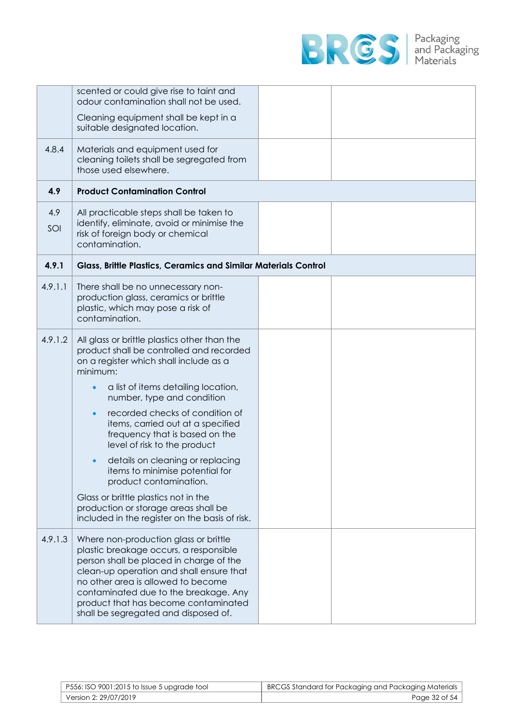

|            | scented or could give rise to taint and<br>odour contamination shall not be used.                                                                                                                                                                                                                                                     |  |
|------------|---------------------------------------------------------------------------------------------------------------------------------------------------------------------------------------------------------------------------------------------------------------------------------------------------------------------------------------|--|
|            | Cleaning equipment shall be kept in a<br>suitable designated location.                                                                                                                                                                                                                                                                |  |
| 4.8.4      | Materials and equipment used for<br>cleaning toilets shall be segregated from<br>those used elsewhere.                                                                                                                                                                                                                                |  |
| 4.9        | <b>Product Contamination Control</b>                                                                                                                                                                                                                                                                                                  |  |
| 4.9<br>SOI | All practicable steps shall be taken to<br>identify, eliminate, avoid or minimise the<br>risk of foreign body or chemical<br>contamination.                                                                                                                                                                                           |  |
| 4.9.1      | <b>Glass, Brittle Plastics, Ceramics and Similar Materials Control</b>                                                                                                                                                                                                                                                                |  |
| 4.9.1.1    | There shall be no unnecessary non-<br>production glass, ceramics or brittle<br>plastic, which may pose a risk of<br>contamination.                                                                                                                                                                                                    |  |
| 4.9.1.2    | All glass or brittle plastics other than the<br>product shall be controlled and recorded<br>on a register which shall include as a<br>minimum:                                                                                                                                                                                        |  |
|            | a list of items detailing location,<br>$\bullet$<br>number, type and condition                                                                                                                                                                                                                                                        |  |
|            | recorded checks of condition of<br>$\bullet$<br>items, carried out at a specified<br>frequency that is based on the<br>level of risk to the product                                                                                                                                                                                   |  |
|            | details on cleaning or replacing<br>$\bullet$<br>items to minimise potential for<br>product contamination.                                                                                                                                                                                                                            |  |
|            | Glass or brittle plastics not in the<br>production or storage areas shall be<br>included in the register on the basis of risk.                                                                                                                                                                                                        |  |
| 4.9.1.3    | Where non-production glass or brittle<br>plastic breakage occurs, a responsible<br>person shall be placed in charge of the<br>clean-up operation and shall ensure that<br>no other area is allowed to become<br>contaminated due to the breakage. Any<br>product that has become contaminated<br>shall be segregated and disposed of. |  |

| P556: ISO 9001:2015 to Issue 5 upgrade tool | BRCGS Standard for Packaging and Packaging Materials |
|---------------------------------------------|------------------------------------------------------|
| Version 2: 29/07/2019                       | Page 32 of 54                                        |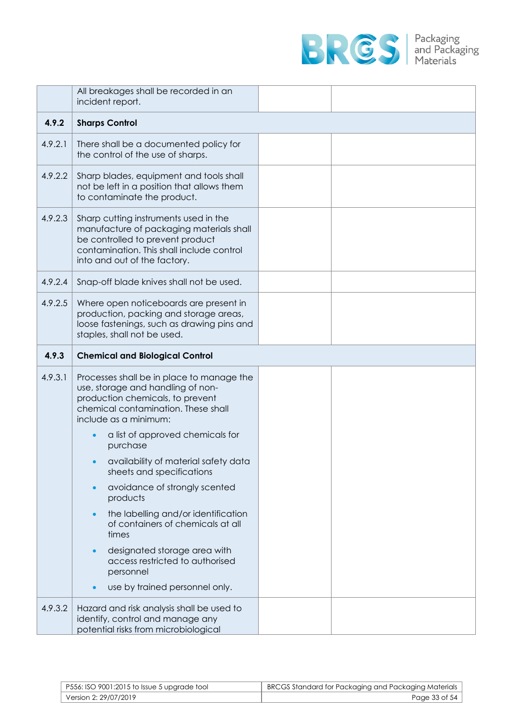

|         | All breakages shall be recorded in an<br>incident report.                                                                                                                                          |  |
|---------|----------------------------------------------------------------------------------------------------------------------------------------------------------------------------------------------------|--|
| 4.9.2   | <b>Sharps Control</b>                                                                                                                                                                              |  |
| 4.9.2.1 | There shall be a documented policy for<br>the control of the use of sharps.                                                                                                                        |  |
| 4.9.2.2 | Sharp blades, equipment and tools shall<br>not be left in a position that allows them<br>to contaminate the product.                                                                               |  |
| 4.9.2.3 | Sharp cutting instruments used in the<br>manufacture of packaging materials shall<br>be controlled to prevent product<br>contamination. This shall include control<br>into and out of the factory. |  |
| 4.9.2.4 | Snap-off blade knives shall not be used.                                                                                                                                                           |  |
| 4.9.2.5 | Where open noticeboards are present in<br>production, packing and storage areas,<br>loose fastenings, such as drawing pins and<br>staples, shall not be used.                                      |  |
| 4.9.3   | <b>Chemical and Biological Control</b>                                                                                                                                                             |  |
| 4.9.3.1 | Processes shall be in place to manage the<br>use, storage and handling of non-<br>production chemicals, to prevent<br>chemical contamination. These shall<br>include as a minimum:                 |  |
|         | a list of approved chemicals for<br>purchase                                                                                                                                                       |  |
|         | availability of material safety data<br>sheets and specifications                                                                                                                                  |  |
|         | avoidance of strongly scented<br>products                                                                                                                                                          |  |
|         | the labelling and/or identification<br>$\bullet$<br>of containers of chemicals at all<br>times                                                                                                     |  |
|         | designated storage area with<br>access restricted to authorised<br>personnel                                                                                                                       |  |
|         | use by trained personnel only.                                                                                                                                                                     |  |
| 4.9.3.2 | Hazard and risk analysis shall be used to<br>identify, control and manage any<br>potential risks from microbiological                                                                              |  |

| P556: ISO 9001:2015 to Issue 5 upgrade tool | BRCGS Standard for Packaging and Packaging Materials |
|---------------------------------------------|------------------------------------------------------|
| Version 2: 29/07/2019                       | Page 33 of 54                                        |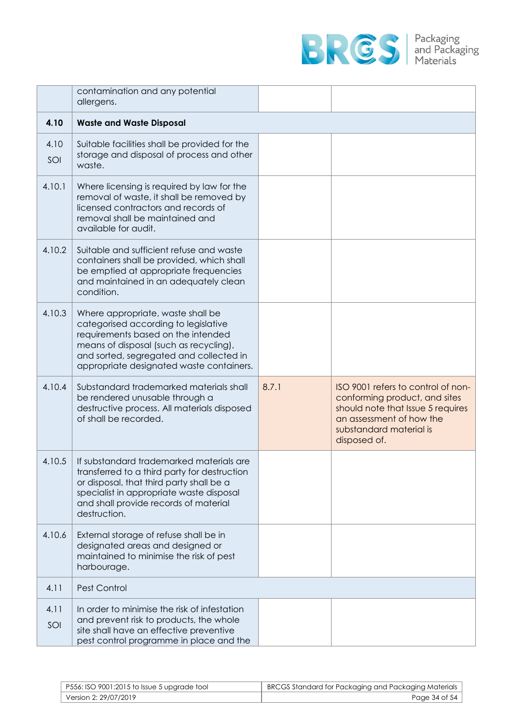

|             | contamination and any potential<br>allergens.                                                                                                                                                                                                    |       |                                                                                                                                                                                 |
|-------------|--------------------------------------------------------------------------------------------------------------------------------------------------------------------------------------------------------------------------------------------------|-------|---------------------------------------------------------------------------------------------------------------------------------------------------------------------------------|
| 4.10        | <b>Waste and Waste Disposal</b>                                                                                                                                                                                                                  |       |                                                                                                                                                                                 |
| 4.10<br>SOI | Suitable facilities shall be provided for the<br>storage and disposal of process and other<br>waste.                                                                                                                                             |       |                                                                                                                                                                                 |
| 4.10.1      | Where licensing is required by law for the<br>removal of waste, it shall be removed by<br>licensed contractors and records of<br>removal shall be maintained and<br>available for audit.                                                         |       |                                                                                                                                                                                 |
| 4.10.2      | Suitable and sufficient refuse and waste<br>containers shall be provided, which shall<br>be emptied at appropriate frequencies<br>and maintained in an adequately clean<br>condition.                                                            |       |                                                                                                                                                                                 |
| 4.10.3      | Where appropriate, waste shall be<br>categorised according to legislative<br>requirements based on the intended<br>means of disposal (such as recycling),<br>and sorted, segregated and collected in<br>appropriate designated waste containers. |       |                                                                                                                                                                                 |
| 4.10.4      | Substandard trademarked materials shall<br>be rendered unusable through a<br>destructive process. All materials disposed<br>of shall be recorded.                                                                                                | 8.7.1 | ISO 9001 refers to control of non-<br>conforming product, and sites<br>should note that Issue 5 requires<br>an assessment of how the<br>substandard material is<br>disposed of. |
| 4.10.5      | If substandard trademarked materials are<br>transferred to a third party for destruction<br>or disposal, that third party shall be a<br>specialist in appropriate waste disposal<br>and shall provide records of material<br>destruction.        |       |                                                                                                                                                                                 |
| 4.10.6      | External storage of refuse shall be in<br>designated areas and designed or<br>maintained to minimise the risk of pest<br>harbourage.                                                                                                             |       |                                                                                                                                                                                 |
| 4.11        | Pest Control                                                                                                                                                                                                                                     |       |                                                                                                                                                                                 |
| 4.11<br>SOI | In order to minimise the risk of infestation<br>and prevent risk to products, the whole<br>site shall have an effective preventive<br>pest control programme in place and the                                                                    |       |                                                                                                                                                                                 |

| P556: ISO 9001:2015 to Issue 5 upgrade tool | BRCGS Standard for Packaging and Packaging Materials |
|---------------------------------------------|------------------------------------------------------|
| Version 2: 29/07/2019                       | Page 34 of 54                                        |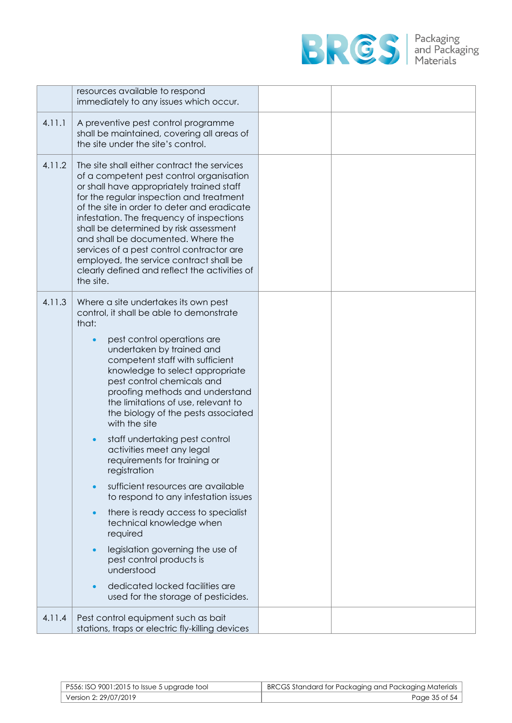

|        | resources available to respond<br>immediately to any issues which occur.                                                                                                                                                                                                                                                                                                                                                                                                                                                                                                                                                                                                                                                                                                                                                                     |  |
|--------|----------------------------------------------------------------------------------------------------------------------------------------------------------------------------------------------------------------------------------------------------------------------------------------------------------------------------------------------------------------------------------------------------------------------------------------------------------------------------------------------------------------------------------------------------------------------------------------------------------------------------------------------------------------------------------------------------------------------------------------------------------------------------------------------------------------------------------------------|--|
| 4.11.1 | A preventive pest control programme<br>shall be maintained, covering all areas of<br>the site under the site's control.                                                                                                                                                                                                                                                                                                                                                                                                                                                                                                                                                                                                                                                                                                                      |  |
| 4.11.2 | The site shall either contract the services<br>of a competent pest control organisation<br>or shall have appropriately trained staff<br>for the regular inspection and treatment<br>of the site in order to deter and eradicate<br>infestation. The frequency of inspections<br>shall be determined by risk assessment<br>and shall be documented. Where the<br>services of a pest control contractor are<br>employed, the service contract shall be<br>clearly defined and reflect the activities of<br>the site.                                                                                                                                                                                                                                                                                                                           |  |
| 4.11.3 | Where a site undertakes its own pest<br>control, it shall be able to demonstrate<br>that:<br>pest control operations are<br>$\bullet$<br>undertaken by trained and<br>competent staff with sufficient<br>knowledge to select appropriate<br>pest control chemicals and<br>proofing methods and understand<br>the limitations of use, relevant to<br>the biology of the pests associated<br>with the site<br>staff undertaking pest control<br>activities meet any legal<br>requirements for training or<br>registration<br>sufficient resources are available<br>to respond to any infestation issues<br>there is ready access to specialist<br>technical knowledge when<br>required<br>legislation governing the use of<br>pest control products is<br>understood<br>dedicated locked facilities are<br>used for the storage of pesticides. |  |
| 4.11.4 | Pest control equipment such as bait<br>stations, traps or electric fly-killing devices                                                                                                                                                                                                                                                                                                                                                                                                                                                                                                                                                                                                                                                                                                                                                       |  |

| $P556$ : ISO 9001:2015 to Issue 5 upgrade tool | BRCGS Standard for Packaging and Packaging Materials |
|------------------------------------------------|------------------------------------------------------|
| Version 2: 29/07/2019                          | Page 35 of 54                                        |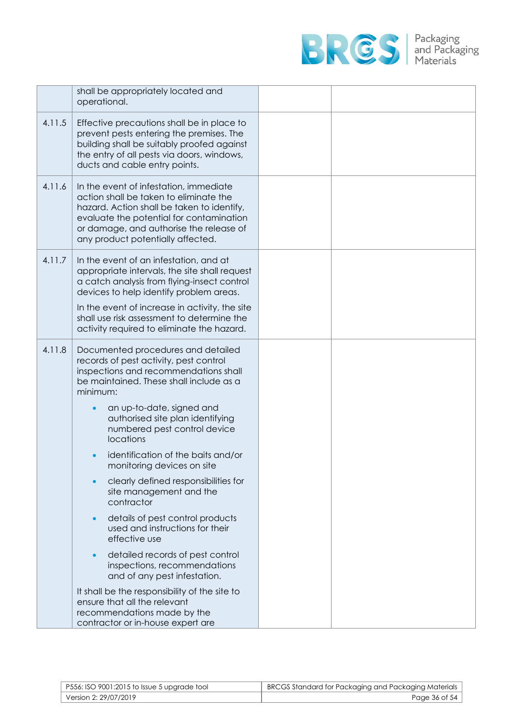

|        | shall be appropriately located and<br>operational.                                                                                                                                                                                                         |  |
|--------|------------------------------------------------------------------------------------------------------------------------------------------------------------------------------------------------------------------------------------------------------------|--|
| 4.11.5 | Effective precautions shall be in place to<br>prevent pests entering the premises. The<br>building shall be suitably proofed against<br>the entry of all pests via doors, windows,<br>ducts and cable entry points.                                        |  |
| 4.11.6 | In the event of infestation, immediate<br>action shall be taken to eliminate the<br>hazard. Action shall be taken to identify,<br>evaluate the potential for contamination<br>or damage, and authorise the release of<br>any product potentially affected. |  |
| 4.11.7 | In the event of an infestation, and at<br>appropriate intervals, the site shall request<br>a catch analysis from flying-insect control<br>devices to help identify problem areas.                                                                          |  |
|        | In the event of increase in activity, the site<br>shall use risk assessment to determine the<br>activity required to eliminate the hazard.                                                                                                                 |  |
| 4.11.8 | Documented procedures and detailed<br>records of pest activity, pest control<br>inspections and recommendations shall<br>be maintained. These shall include as a<br>minimum:                                                                               |  |
|        | an up-to-date, signed and<br>authorised site plan identifying<br>numbered pest control device<br>locations                                                                                                                                                 |  |
|        | identification of the baits and/or<br>monitoring devices on site                                                                                                                                                                                           |  |
|        | clearly defined responsibilities for<br>site management and the<br>contractor                                                                                                                                                                              |  |
|        | details of pest control products<br>used and instructions for their<br>effective use                                                                                                                                                                       |  |
|        | detailed records of pest control<br>$\bullet$<br>inspections, recommendations<br>and of any pest infestation.                                                                                                                                              |  |
|        | It shall be the responsibility of the site to<br>ensure that all the relevant<br>recommendations made by the<br>contractor or in-house expert are                                                                                                          |  |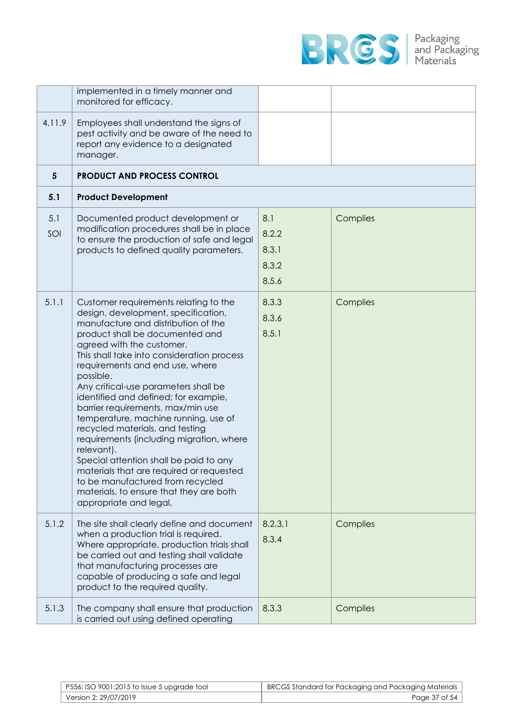

|            | implemented in a timely manner and<br>monitored for efficacy.                                                                                                                                                                                                                                                                                                                                                                                                                                                                                                                                                                                                                                                                              |                                         |          |
|------------|--------------------------------------------------------------------------------------------------------------------------------------------------------------------------------------------------------------------------------------------------------------------------------------------------------------------------------------------------------------------------------------------------------------------------------------------------------------------------------------------------------------------------------------------------------------------------------------------------------------------------------------------------------------------------------------------------------------------------------------------|-----------------------------------------|----------|
| 4.11.9     | Employees shall understand the signs of<br>pest activity and be aware of the need to<br>report any evidence to a designated<br>manager.                                                                                                                                                                                                                                                                                                                                                                                                                                                                                                                                                                                                    |                                         |          |
| 5          | <b>PRODUCT AND PROCESS CONTROL</b>                                                                                                                                                                                                                                                                                                                                                                                                                                                                                                                                                                                                                                                                                                         |                                         |          |
| 5.1        | <b>Product Development</b>                                                                                                                                                                                                                                                                                                                                                                                                                                                                                                                                                                                                                                                                                                                 |                                         |          |
| 5.1<br>SOI | Documented product development or<br>modification procedures shall be in place<br>to ensure the production of safe and legal<br>products to defined quality parameters.                                                                                                                                                                                                                                                                                                                                                                                                                                                                                                                                                                    | 8.1<br>8.2.2<br>8.3.1<br>8.3.2<br>8.5.6 | Complies |
| 5.1.1      | Customer requirements relating to the<br>design, development, specification,<br>manufacture and distribution of the<br>product shall be documented and<br>agreed with the customer.<br>This shall take into consideration process<br>requirements and end use, where<br>possible.<br>Any critical-use parameters shall be<br>identified and defined; for example,<br>barrier requirements, max/min use<br>temperature, machine running, use of<br>recycled materials, and testing<br>requirements (including migration, where<br>relevant).<br>Special attention shall be paid to any<br>materials that are required or requested<br>to be manufactured from recycled<br>materials, to ensure that they are both<br>appropriate and legal. | 8.3.3<br>8.3.6<br>8.5.1                 | Complies |
| 5.1.2      | The site shall clearly define and document<br>when a production trial is required.<br>Where appropriate, production trials shall<br>be carried out and testing shall validate<br>that manufacturing processes are<br>capable of producing a safe and legal<br>product to the required quality.                                                                                                                                                                                                                                                                                                                                                                                                                                             | 8.2.3.1<br>8.3.4                        | Complies |
| 5.1.3      | The company shall ensure that production<br>is carried out using defined operating                                                                                                                                                                                                                                                                                                                                                                                                                                                                                                                                                                                                                                                         | 8.3.3                                   | Complies |

| P556: ISO 9001:2015 to Issue 5 upgrade tool | BRCGS Standard for Packaging and Packaging Materials |
|---------------------------------------------|------------------------------------------------------|
| Version 2: 29/07/2019                       | Page 37 of 54                                        |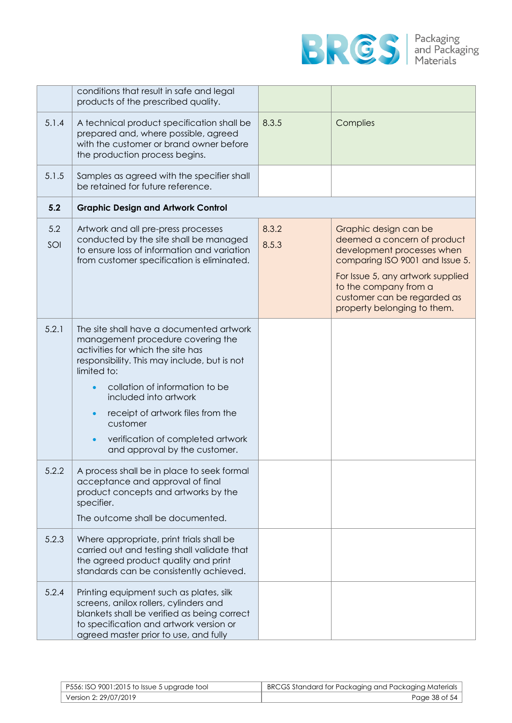

|            | conditions that result in safe and legal<br>products of the prescribed quality.                                                                                                                                                                                                                                                                                     |                |                                                                                                                                                                                                                                                   |
|------------|---------------------------------------------------------------------------------------------------------------------------------------------------------------------------------------------------------------------------------------------------------------------------------------------------------------------------------------------------------------------|----------------|---------------------------------------------------------------------------------------------------------------------------------------------------------------------------------------------------------------------------------------------------|
| 5.1.4      | A technical product specification shall be<br>prepared and, where possible, agreed<br>with the customer or brand owner before<br>the production process begins.                                                                                                                                                                                                     | 8.3.5          | Complies                                                                                                                                                                                                                                          |
| 5.1.5      | Samples as agreed with the specifier shall<br>be retained for future reference.                                                                                                                                                                                                                                                                                     |                |                                                                                                                                                                                                                                                   |
| 5.2        | <b>Graphic Design and Artwork Control</b>                                                                                                                                                                                                                                                                                                                           |                |                                                                                                                                                                                                                                                   |
| 5.2<br>SOI | Artwork and all pre-press processes<br>conducted by the site shall be managed<br>to ensure loss of information and variation<br>from customer specification is eliminated.                                                                                                                                                                                          | 8.3.2<br>8.5.3 | Graphic design can be<br>deemed a concern of product<br>development processes when<br>comparing ISO 9001 and Issue 5.<br>For Issue 5, any artwork supplied<br>to the company from a<br>customer can be regarded as<br>property belonging to them. |
| 5.2.1      | The site shall have a documented artwork<br>management procedure covering the<br>activities for which the site has<br>responsibility. This may include, but is not<br>limited to:<br>collation of information to be<br>included into artwork<br>receipt of artwork files from the<br>customer<br>verification of completed artwork<br>and approval by the customer. |                |                                                                                                                                                                                                                                                   |
| 5.2.2      | A process shall be in place to seek formal<br>acceptance and approval of final<br>product concepts and artworks by the<br>specifier.<br>The outcome shall be documented.                                                                                                                                                                                            |                |                                                                                                                                                                                                                                                   |
| 5.2.3      | Where appropriate, print trials shall be<br>carried out and testing shall validate that<br>the agreed product quality and print<br>standards can be consistently achieved.                                                                                                                                                                                          |                |                                                                                                                                                                                                                                                   |
| 5.2.4      | Printing equipment such as plates, silk<br>screens, anilox rollers, cylinders and<br>blankets shall be verified as being correct<br>to specification and artwork version or<br>agreed master prior to use, and fully                                                                                                                                                |                |                                                                                                                                                                                                                                                   |

| P556: ISO 9001:2015 to Issue 5 upgrade tool | BRCGS Standard for Packaging and Packaging Materials |
|---------------------------------------------|------------------------------------------------------|
| Version 2: 29/07/2019                       | Page 38 of 54                                        |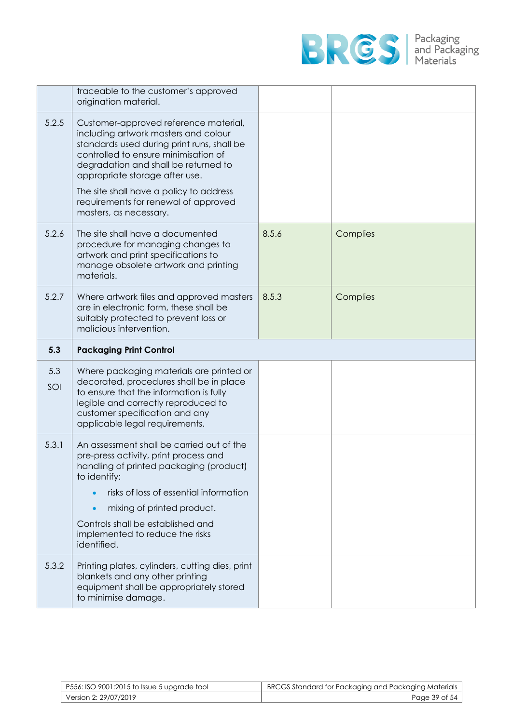

|            | traceable to the customer's approved<br>origination material.                                                                                                                                                                                                                                                                                              |       |          |
|------------|------------------------------------------------------------------------------------------------------------------------------------------------------------------------------------------------------------------------------------------------------------------------------------------------------------------------------------------------------------|-------|----------|
| 5.2.5      | Customer-approved reference material,<br>including artwork masters and colour<br>standards used during print runs, shall be<br>controlled to ensure minimisation of<br>degradation and shall be returned to<br>appropriate storage after use.<br>The site shall have a policy to address<br>requirements for renewal of approved<br>masters, as necessary. |       |          |
| 5.2.6      | The site shall have a documented<br>procedure for managing changes to<br>artwork and print specifications to<br>manage obsolete artwork and printing<br>materials.                                                                                                                                                                                         | 8.5.6 | Complies |
| 5.2.7      | Where artwork files and approved masters<br>are in electronic form, these shall be<br>suitably protected to prevent loss or<br>malicious intervention.                                                                                                                                                                                                     | 8.5.3 | Complies |
|            |                                                                                                                                                                                                                                                                                                                                                            |       |          |
| 5.3        | <b>Packaging Print Control</b>                                                                                                                                                                                                                                                                                                                             |       |          |
| 5.3<br>SOI | Where packaging materials are printed or<br>decorated, procedures shall be in place<br>to ensure that the information is fully<br>legible and correctly reproduced to<br>customer specification and any<br>applicable legal requirements.                                                                                                                  |       |          |
| 5.3.1      | An assessment shall be carried out of the<br>pre-press activity, print process and<br>handling of printed packaging (product)<br>to identify:<br>risks of loss of essential information<br>mixing of printed product.<br>Controls shall be established and<br>implemented to reduce the risks<br>identified.                                               |       |          |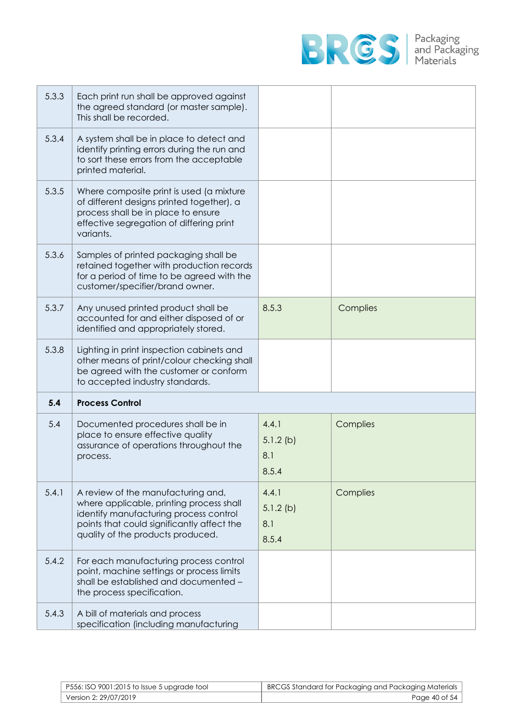

| 5.3.3 | Each print run shall be approved against<br>the agreed standard (or master sample).<br>This shall be recorded.                                                                        |                                      |          |
|-------|---------------------------------------------------------------------------------------------------------------------------------------------------------------------------------------|--------------------------------------|----------|
| 5.3.4 | A system shall be in place to detect and<br>identify printing errors during the run and<br>to sort these errors from the acceptable<br>printed material.                              |                                      |          |
| 5.3.5 | Where composite print is used (a mixture<br>of different designs printed together), a<br>process shall be in place to ensure<br>effective segregation of differing print<br>variants. |                                      |          |
| 5.3.6 | Samples of printed packaging shall be<br>retained together with production records<br>for a period of time to be agreed with the<br>customer/specifier/brand owner.                   |                                      |          |
| 5.3.7 | Any unused printed product shall be<br>accounted for and either disposed of or<br>identified and appropriately stored.                                                                | 8.5.3                                | Complies |
| 5.3.8 | Lighting in print inspection cabinets and<br>other means of print/colour checking shall<br>be agreed with the customer or conform<br>to accepted industry standards.                  |                                      |          |
| 5.4   | <b>Process Control</b>                                                                                                                                                                |                                      |          |
| 5.4   | Documented procedures shall be in<br>place to ensure effective quality<br>assurance of operations throughout the<br>process.                                                          | 4.4.1<br>$5.1.2$ (b)<br>8.1<br>8.5.4 | Complies |
| 5.4.1 | A review of the manufacturing and,<br>where applicable, printing process shall                                                                                                        | 4.4.1<br>$5.1.2$ (b)                 | Complies |
|       | identify manufacturing process control<br>points that could significantly affect the<br>quality of the products produced.                                                             | 8.1<br>8.5.4                         |          |
| 5.4.2 | For each manufacturing process control<br>point, machine settings or process limits<br>shall be established and documented -<br>the process specification.                            |                                      |          |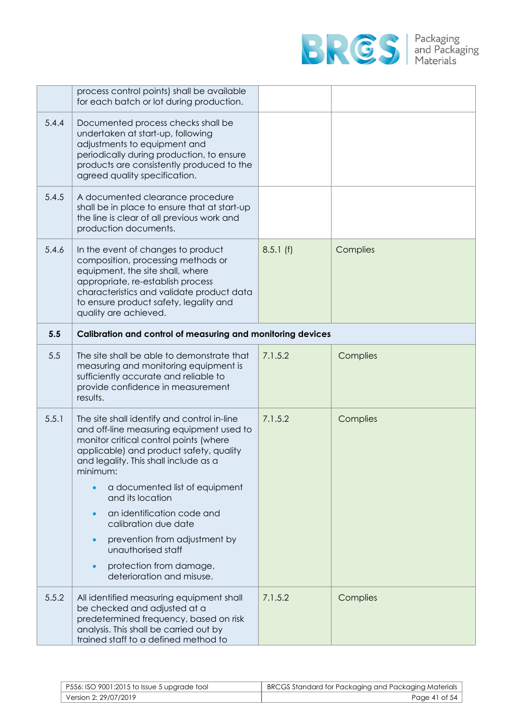

|       | process control points) shall be available<br>for each batch or lot during production.                                                                                                                                                                                                                                                                                                                                                                                    |          |          |
|-------|---------------------------------------------------------------------------------------------------------------------------------------------------------------------------------------------------------------------------------------------------------------------------------------------------------------------------------------------------------------------------------------------------------------------------------------------------------------------------|----------|----------|
| 5.4.4 | Documented process checks shall be<br>undertaken at start-up, following<br>adjustments to equipment and<br>periodically during production, to ensure<br>products are consistently produced to the<br>agreed quality specification.                                                                                                                                                                                                                                        |          |          |
| 5.4.5 | A documented clearance procedure<br>shall be in place to ensure that at start-up<br>the line is clear of all previous work and<br>production documents.                                                                                                                                                                                                                                                                                                                   |          |          |
| 5.4.6 | In the event of changes to product<br>composition, processing methods or<br>equipment, the site shall, where<br>appropriate, re-establish process<br>characteristics and validate product data<br>to ensure product safety, legality and<br>quality are achieved.                                                                                                                                                                                                         | 8.5.1(f) | Complies |
| 5.5   | Calibration and control of measuring and monitoring devices                                                                                                                                                                                                                                                                                                                                                                                                               |          |          |
| 5.5   | The site shall be able to demonstrate that<br>measuring and monitoring equipment is<br>sufficiently accurate and reliable to<br>provide confidence in measurement<br>results.                                                                                                                                                                                                                                                                                             | 7.1.5.2  | Complies |
| 5.5.1 | The site shall identify and control in-line<br>and off-line measuring equipment used to<br>monitor critical control points (where<br>applicable) and product safety, quality<br>and legality. This shall include as a<br>minimum:<br>a documented list of equipment<br>and its location<br>an identification code and<br>$\bullet$<br>calibration due date<br>prevention from adjustment by<br>unauthorised staff<br>protection from damage,<br>deterioration and misuse. | 7.1.5.2  | Complies |
| 5.5.2 | All identified measuring equipment shall<br>be checked and adjusted at a<br>predetermined frequency, based on risk<br>analysis. This shall be carried out by<br>trained staff to a defined method to                                                                                                                                                                                                                                                                      | 7.1.5.2  | Complies |

| P556: ISO 9001:2015 to Issue 5 upgrade tool | BRCGS Standard for Packaging and Packaging Materials |
|---------------------------------------------|------------------------------------------------------|
| Version 2: 29/07/2019                       | Page 41 of 54                                        |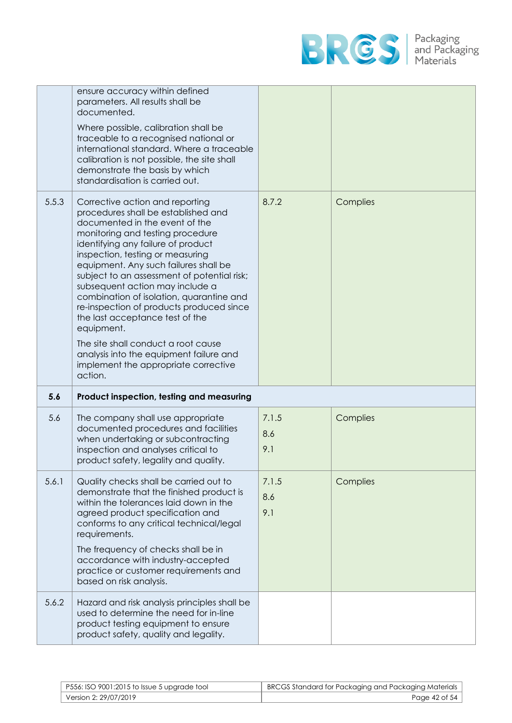

|       | ensure accuracy within defined<br>parameters. All results shall be<br>documented.<br>Where possible, calibration shall be<br>traceable to a recognised national or<br>international standard. Where a traceable<br>calibration is not possible, the site shall<br>demonstrate the basis by which<br>standardisation is carried out.                                                                                                                                                                                                                                                                                  |                     |          |
|-------|----------------------------------------------------------------------------------------------------------------------------------------------------------------------------------------------------------------------------------------------------------------------------------------------------------------------------------------------------------------------------------------------------------------------------------------------------------------------------------------------------------------------------------------------------------------------------------------------------------------------|---------------------|----------|
| 5.5.3 | Corrective action and reporting<br>procedures shall be established and<br>documented in the event of the<br>monitoring and testing procedure<br>identifying any failure of product<br>inspection, testing or measuring<br>equipment. Any such failures shall be<br>subject to an assessment of potential risk;<br>subsequent action may include a<br>combination of isolation, quarantine and<br>re-inspection of products produced since<br>the last acceptance test of the<br>equipment.<br>The site shall conduct a root cause<br>analysis into the equipment failure and<br>implement the appropriate corrective | 8.7.2               | Complies |
|       | action.                                                                                                                                                                                                                                                                                                                                                                                                                                                                                                                                                                                                              |                     |          |
| 5.6   | Product inspection, testing and measuring                                                                                                                                                                                                                                                                                                                                                                                                                                                                                                                                                                            |                     |          |
| 5.6   | The company shall use appropriate<br>documented procedures and facilities<br>when undertaking or subcontracting<br>inspection and analyses critical to<br>product safety, legality and quality.                                                                                                                                                                                                                                                                                                                                                                                                                      | 7.1.5<br>8.6<br>9.1 | Complies |
| 5.6.1 | Quality checks shall be carried out to<br>demonstrate that the finished product is<br>within the tolerances laid down in the<br>agreed product specification and<br>conforms to any critical technical/legal<br>requirements.<br>The frequency of checks shall be in<br>accordance with industry-accepted<br>practice or customer requirements and<br>based on risk analysis.                                                                                                                                                                                                                                        | 7.1.5<br>8.6<br>9.1 | Complies |

| $\mid$ P556: ISO 9001:2015 to Issue 5 upgrade tool | BRCGS Standard for Packaging and Packaging Materials |
|----------------------------------------------------|------------------------------------------------------|
| Version 2: 29/07/2019                              | Page 42 of 54                                        |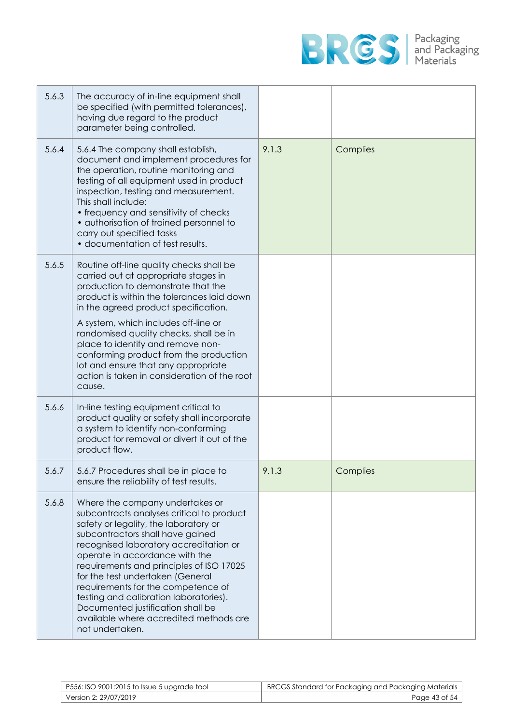

| 5.6.3 | The accuracy of in-line equipment shall<br>be specified (with permitted tolerances),<br>having due regard to the product<br>parameter being controlled.                                                                                                                                                                                                                                                                                                                                                 |       |          |
|-------|---------------------------------------------------------------------------------------------------------------------------------------------------------------------------------------------------------------------------------------------------------------------------------------------------------------------------------------------------------------------------------------------------------------------------------------------------------------------------------------------------------|-------|----------|
| 5.6.4 | 5.6.4 The company shall establish,<br>document and implement procedures for<br>the operation, routine monitoring and<br>testing of all equipment used in product<br>inspection, testing and measurement.<br>This shall include:<br>• frequency and sensitivity of checks<br>• authorisation of trained personnel to<br>carry out specified tasks<br>· documentation of test results.                                                                                                                    | 9.1.3 | Complies |
| 5.6.5 | Routine off-line quality checks shall be<br>carried out at appropriate stages in<br>production to demonstrate that the<br>product is within the tolerances laid down<br>in the agreed product specification.<br>A system, which includes off-line or<br>randomised quality checks, shall be in<br>place to identify and remove non-<br>conforming product from the production<br>lot and ensure that any appropriate<br>action is taken in consideration of the root                                    |       |          |
|       | cause.                                                                                                                                                                                                                                                                                                                                                                                                                                                                                                  |       |          |
| 5.6.6 | In-line testing equipment critical to<br>product quality or safety shall incorporate<br>a system to identify non-conforming<br>product for removal or divert it out of the<br>product flow.                                                                                                                                                                                                                                                                                                             |       |          |
| 5.6.7 | 5.6.7 Procedures shall be in place to<br>ensure the reliability of test results.                                                                                                                                                                                                                                                                                                                                                                                                                        | 9.1.3 | Complies |
| 5.6.8 | Where the company undertakes or<br>subcontracts analyses critical to product<br>safety or legality, the laboratory or<br>subcontractors shall have gained<br>recognised laboratory accreditation or<br>operate in accordance with the<br>requirements and principles of ISO 17025<br>for the test undertaken (General<br>requirements for the competence of<br>testing and calibration laboratories).<br>Documented justification shall be<br>available where accredited methods are<br>not undertaken. |       |          |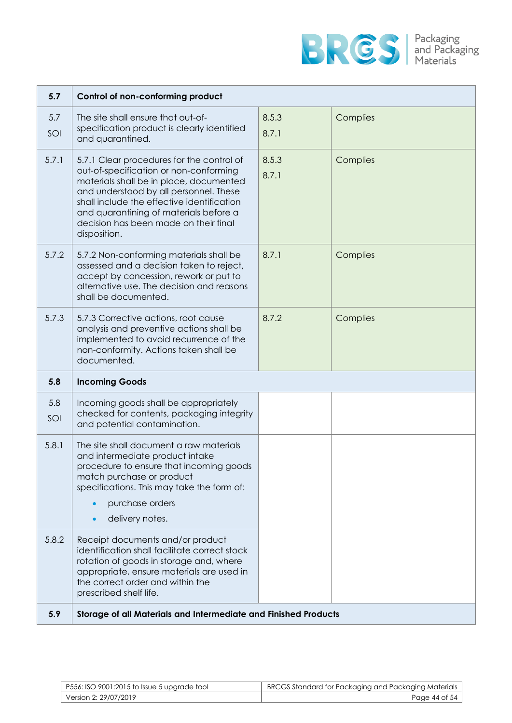

| 5.7        | Control of non-conforming product                                                                                                                                                                                                                                                                                         |                |          |
|------------|---------------------------------------------------------------------------------------------------------------------------------------------------------------------------------------------------------------------------------------------------------------------------------------------------------------------------|----------------|----------|
| 5.7<br>SOI | The site shall ensure that out-of-<br>specification product is clearly identified<br>and quarantined.                                                                                                                                                                                                                     | 8.5.3<br>8.7.1 | Complies |
| 5.7.1      | 5.7.1 Clear procedures for the control of<br>out-of-specification or non-conforming<br>materials shall be in place, documented<br>and understood by all personnel. These<br>shall include the effective identification<br>and quarantining of materials before a<br>decision has been made on their final<br>disposition. | 8.5.3<br>8.7.1 | Complies |
| 5.7.2      | 5.7.2 Non-conforming materials shall be<br>assessed and a decision taken to reject,<br>accept by concession, rework or put to<br>alternative use. The decision and reasons<br>shall be documented.                                                                                                                        | 8.7.1          | Complies |
| 5.7.3      | 5.7.3 Corrective actions, root cause<br>analysis and preventive actions shall be<br>implemented to avoid recurrence of the<br>non-conformity. Actions taken shall be<br>documented.                                                                                                                                       | 8.7.2          | Complies |
| 5.8        | <b>Incoming Goods</b>                                                                                                                                                                                                                                                                                                     |                |          |
| 5.8<br>SOI | Incoming goods shall be appropriately<br>checked for contents, packaging integrity<br>and potential contamination.                                                                                                                                                                                                        |                |          |
| 5.8.1      | The site shall document a raw materials<br>and intermediate product intake<br>procedure to ensure that incoming goods<br>match purchase or product<br>specifications. This may take the form of:<br>purchase orders<br>delivery notes.                                                                                    |                |          |
| 5.8.2      | Receipt documents and/or product<br>identification shall facilitate correct stock<br>rotation of goods in storage and, where<br>appropriate, ensure materials are used in<br>the correct order and within the<br>prescribed shelf life.                                                                                   |                |          |
| 5.9        | Storage of all Materials and Intermediate and Finished Products                                                                                                                                                                                                                                                           |                |          |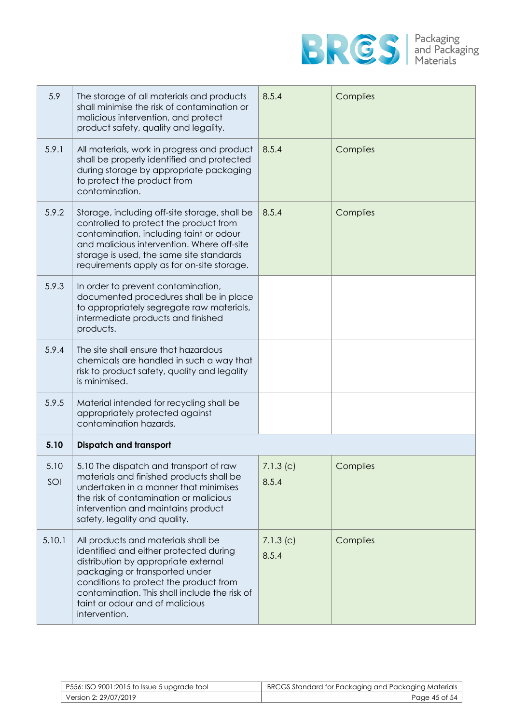

| 5.9         | The storage of all materials and products<br>shall minimise the risk of contamination or<br>malicious intervention, and protect<br>product safety, quality and legality.                                                                                                                               | 8.5.4             | Complies |
|-------------|--------------------------------------------------------------------------------------------------------------------------------------------------------------------------------------------------------------------------------------------------------------------------------------------------------|-------------------|----------|
| 5.9.1       | All materials, work in progress and product<br>shall be properly identified and protected<br>during storage by appropriate packaging<br>to protect the product from<br>contamination.                                                                                                                  | 8.5.4             | Complies |
| 5.9.2       | Storage, including off-site storage, shall be<br>controlled to protect the product from<br>contamination, including taint or odour<br>and malicious intervention. Where off-site<br>storage is used, the same site standards<br>requirements apply as for on-site storage.                             | 8.5.4             | Complies |
| 5.9.3       | In order to prevent contamination,<br>documented procedures shall be in place<br>to appropriately segregate raw materials,<br>intermediate products and finished<br>products.                                                                                                                          |                   |          |
| 5.9.4       | The site shall ensure that hazardous<br>chemicals are handled in such a way that<br>risk to product safety, quality and legality<br>is minimised.                                                                                                                                                      |                   |          |
| 5.9.5       | Material intended for recycling shall be<br>appropriately protected against<br>contamination hazards.                                                                                                                                                                                                  |                   |          |
| 5.10        | <b>Dispatch and transport</b>                                                                                                                                                                                                                                                                          |                   |          |
| 5.10<br>SOI | 5.10 The dispatch and transport of raw<br>materials and finished products shall be<br>undertaken in a manner that minimises<br>the risk of contamination or malicious<br>intervention and maintains product<br>safety, legality and quality.                                                           | 7.1.3(c)<br>8.5.4 | Complies |
| 5.10.1      | All products and materials shall be<br>identified and either protected during<br>distribution by appropriate external<br>packaging or transported under<br>conditions to protect the product from<br>contamination. This shall include the risk of<br>taint or odour and of malicious<br>intervention. | 7.1.3(c)<br>8.5.4 | Complies |

| P556: ISO 9001:2015 to Issue 5 upgrade tool | BRCGS Standard for Packaging and Packaging Materials |
|---------------------------------------------|------------------------------------------------------|
| Version 2: 29/07/2019                       | Page 45 of 54                                        |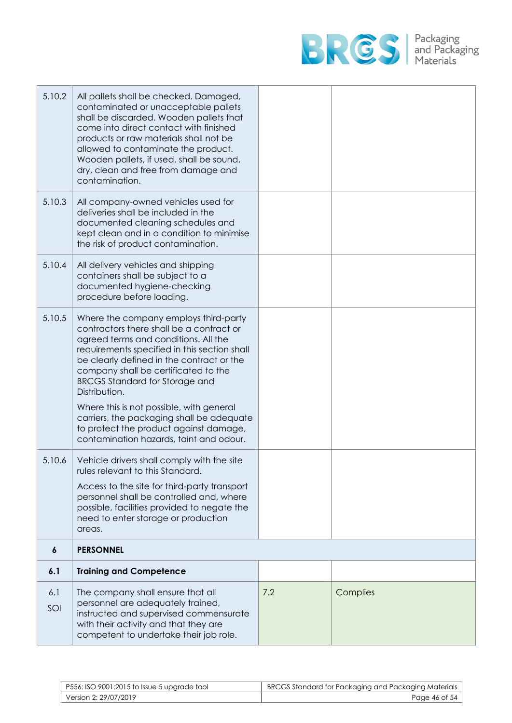

| 5.10.2     | All pallets shall be checked. Damaged,<br>contaminated or unacceptable pallets<br>shall be discarded. Wooden pallets that<br>come into direct contact with finished<br>products or raw materials shall not be<br>allowed to contaminate the product.<br>Wooden pallets, if used, shall be sound,<br>dry, clean and free from damage and<br>contamination.                                                                                                                                              |     |          |
|------------|--------------------------------------------------------------------------------------------------------------------------------------------------------------------------------------------------------------------------------------------------------------------------------------------------------------------------------------------------------------------------------------------------------------------------------------------------------------------------------------------------------|-----|----------|
| 5.10.3     | All company-owned vehicles used for<br>deliveries shall be included in the<br>documented cleaning schedules and<br>kept clean and in a condition to minimise<br>the risk of product contamination.                                                                                                                                                                                                                                                                                                     |     |          |
| 5.10.4     | All delivery vehicles and shipping<br>containers shall be subject to a<br>documented hygiene-checking<br>procedure before loading.                                                                                                                                                                                                                                                                                                                                                                     |     |          |
| 5.10.5     | Where the company employs third-party<br>contractors there shall be a contract or<br>agreed terms and conditions. All the<br>requirements specified in this section shall<br>be clearly defined in the contract or the<br>company shall be certificated to the<br><b>BRCGS Standard for Storage and</b><br>Distribution.<br>Where this is not possible, with general<br>carriers, the packaging shall be adequate<br>to protect the product against damage,<br>contamination hazards, taint and odour. |     |          |
| 5.10.6     | Vehicle drivers shall comply with the site<br>rules relevant to this Standard.                                                                                                                                                                                                                                                                                                                                                                                                                         |     |          |
|            | Access to the site for third-party transport<br>personnel shall be controlled and, where<br>possible, facilities provided to negate the<br>need to enter storage or production<br>areas.                                                                                                                                                                                                                                                                                                               |     |          |
| 6          | <b>PERSONNEL</b>                                                                                                                                                                                                                                                                                                                                                                                                                                                                                       |     |          |
| 6.1        | <b>Training and Competence</b>                                                                                                                                                                                                                                                                                                                                                                                                                                                                         |     |          |
| 6.1<br>SOI | The company shall ensure that all<br>personnel are adequately trained,<br>instructed and supervised commensurate<br>with their activity and that they are<br>competent to undertake their job role.                                                                                                                                                                                                                                                                                                    | 7.2 | Complies |

| P556: ISO 9001:2015 to Issue 5 upgrade tool | <b>BRCGS Standard for Packaging and Packaging Materials</b> |
|---------------------------------------------|-------------------------------------------------------------|
| Version 2: 29/07/2019                       | Page 46 of 54                                               |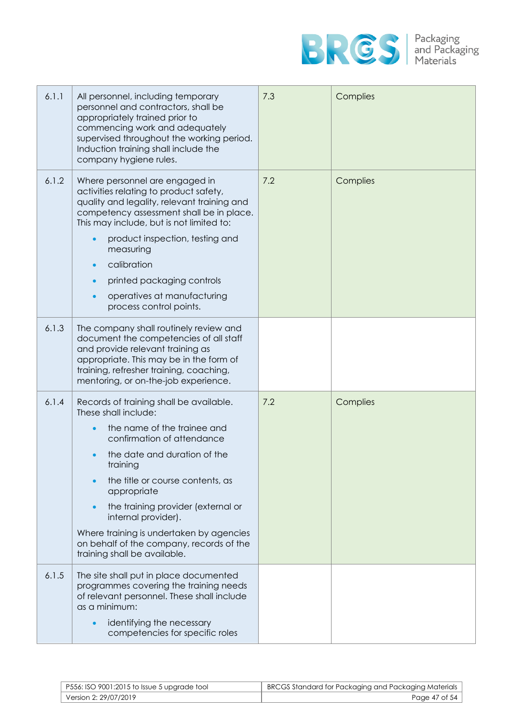

| 6.1.1 | All personnel, including temporary<br>personnel and contractors, shall be<br>appropriately trained prior to<br>commencing work and adequately<br>supervised throughout the working period.<br>Induction training shall include the<br>company hygiene rules.                                                                                                                                                     | 7.3 | Complies |
|-------|------------------------------------------------------------------------------------------------------------------------------------------------------------------------------------------------------------------------------------------------------------------------------------------------------------------------------------------------------------------------------------------------------------------|-----|----------|
| 6.1.2 | Where personnel are engaged in<br>activities relating to product safety,<br>quality and legality, relevant training and<br>competency assessment shall be in place.<br>This may include, but is not limited to:<br>product inspection, testing and<br>measuring<br>calibration<br>printed packaging controls<br>operatives at manufacturing<br>process control points.                                           | 7.2 | Complies |
| 6.1.3 | The company shall routinely review and<br>document the competencies of all staff<br>and provide relevant training as<br>appropriate. This may be in the form of<br>training, refresher training, coaching,<br>mentoring, or on-the-job experience.                                                                                                                                                               |     |          |
| 6.1.4 | Records of training shall be available.<br>These shall include:<br>the name of the trainee and<br>confirmation of attendance<br>the date and duration of the<br>training<br>the title or course contents, as<br>appropriate<br>the training provider (external or<br>internal provider).<br>Where training is undertaken by agencies<br>on behalf of the company, records of the<br>training shall be available. | 7.2 | Complies |
| 6.1.5 | The site shall put in place documented<br>programmes covering the training needs<br>of relevant personnel. These shall include<br>as a minimum:<br>identifying the necessary<br>competencies for specific roles                                                                                                                                                                                                  |     |          |

| P556: ISO 9001:2015 to Issue 5 upgrade tool | BRCGS Standard for Packaging and Packaging Materials |
|---------------------------------------------|------------------------------------------------------|
| Version 2: 29/07/2019                       | Page 47 of 54                                        |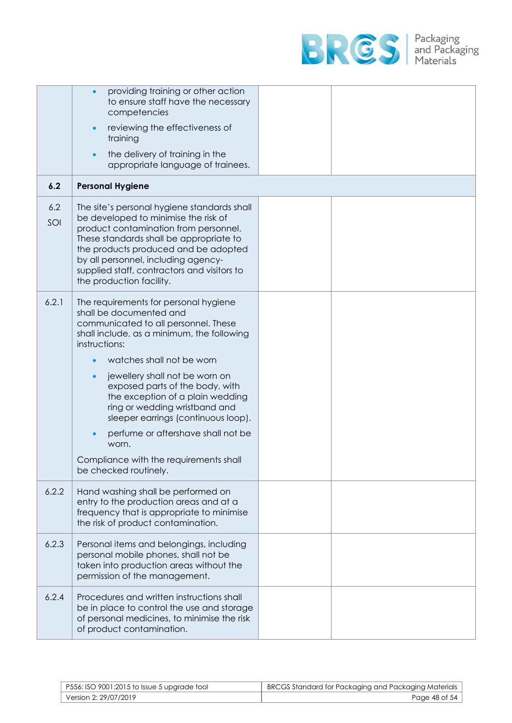

|            | providing training or other action<br>to ensure staff have the necessary<br>competencies                                                                                                                                                                                                                                                                                                                                                                                                                |  |
|------------|---------------------------------------------------------------------------------------------------------------------------------------------------------------------------------------------------------------------------------------------------------------------------------------------------------------------------------------------------------------------------------------------------------------------------------------------------------------------------------------------------------|--|
|            | reviewing the effectiveness of<br>training                                                                                                                                                                                                                                                                                                                                                                                                                                                              |  |
|            | the delivery of training in the<br>appropriate language of trainees.                                                                                                                                                                                                                                                                                                                                                                                                                                    |  |
| 6.2        | <b>Personal Hygiene</b>                                                                                                                                                                                                                                                                                                                                                                                                                                                                                 |  |
| 6.2<br>SOI | The site's personal hygiene standards shall<br>be developed to minimise the risk of<br>product contamination from personnel.<br>These standards shall be appropriate to<br>the products produced and be adopted<br>by all personnel, including agency-<br>supplied staff, contractors and visitors to<br>the production facility.                                                                                                                                                                       |  |
| 6.2.1      | The requirements for personal hygiene<br>shall be documented and<br>communicated to all personnel. These<br>shall include, as a minimum, the following<br>instructions:<br>watches shall not be worn<br>jewellery shall not be worn on<br>exposed parts of the body, with<br>the exception of a plain wedding<br>ring or wedding wristband and<br>sleeper earrings (continuous loop).<br>perfume or aftershave shall not be<br>worn.<br>Compliance with the requirements shall<br>be checked routinely. |  |
| 6.2.2      | Hand washing shall be performed on<br>entry to the production areas and at a<br>frequency that is appropriate to minimise<br>the risk of product contamination.                                                                                                                                                                                                                                                                                                                                         |  |
| 6.2.3      | Personal items and belongings, including<br>personal mobile phones, shall not be<br>taken into production areas without the<br>permission of the management.                                                                                                                                                                                                                                                                                                                                            |  |
| 6.2.4      | Procedures and written instructions shall<br>be in place to control the use and storage<br>of personal medicines, to minimise the risk<br>of product contamination.                                                                                                                                                                                                                                                                                                                                     |  |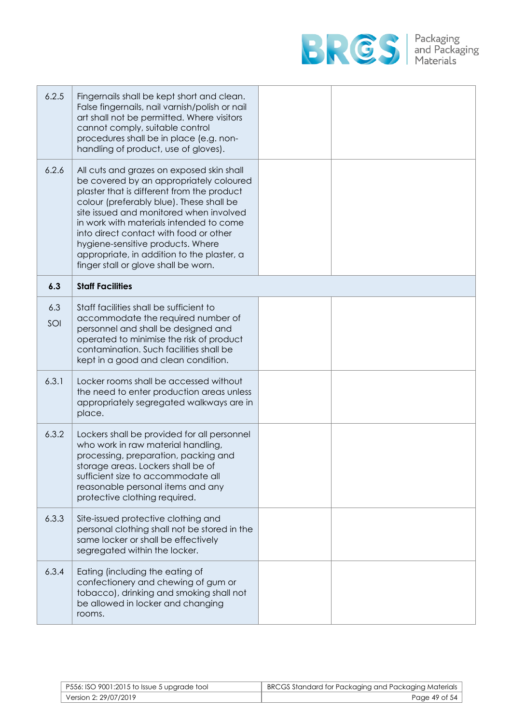

| 6.2.5      | Fingernails shall be kept short and clean.<br>False fingernails, nail varnish/polish or nail<br>art shall not be permitted. Where visitors<br>cannot comply, suitable control<br>procedures shall be in place (e.g. non-<br>handling of product, use of gloves).                                                                                                                                                                          |  |
|------------|-------------------------------------------------------------------------------------------------------------------------------------------------------------------------------------------------------------------------------------------------------------------------------------------------------------------------------------------------------------------------------------------------------------------------------------------|--|
| 6.2.6      | All cuts and grazes on exposed skin shall<br>be covered by an appropriately coloured<br>plaster that is different from the product<br>colour (preferably blue). These shall be<br>site issued and monitored when involved<br>in work with materials intended to come<br>into direct contact with food or other<br>hygiene-sensitive products. Where<br>appropriate, in addition to the plaster, a<br>finger stall or glove shall be worn. |  |
| 6.3        | <b>Staff Facilities</b>                                                                                                                                                                                                                                                                                                                                                                                                                   |  |
| 6.3<br>SOI | Staff facilities shall be sufficient to<br>accommodate the required number of<br>personnel and shall be designed and<br>operated to minimise the risk of product<br>contamination. Such facilities shall be<br>kept in a good and clean condition.                                                                                                                                                                                        |  |
| 6.3.1      | Locker rooms shall be accessed without<br>the need to enter production areas unless<br>appropriately segregated walkways are in<br>place.                                                                                                                                                                                                                                                                                                 |  |
| 6.3.2      | Lockers shall be provided for all personnel<br>who work in raw material handling,<br>processing, preparation, packing and<br>storage areas. Lockers shall be of<br>sufficient size to accommodate all<br>reasonable personal items and any<br>protective clothing required.                                                                                                                                                               |  |
| 6.3.3      | Site-issued protective clothing and<br>personal clothing shall not be stored in the<br>same locker or shall be effectively<br>segregated within the locker.                                                                                                                                                                                                                                                                               |  |
| 6.3.4      | Eating (including the eating of<br>confectionery and chewing of gum or<br>tobacco), drinking and smoking shall not<br>be allowed in locker and changing<br>rooms.                                                                                                                                                                                                                                                                         |  |

| P556: ISO 9001:2015 to Issue 5 upgrade tool | BRCGS Standard for Packaging and Packaging Materials |
|---------------------------------------------|------------------------------------------------------|
| Version 2: 29/07/2019                       | Page 49 of 54                                        |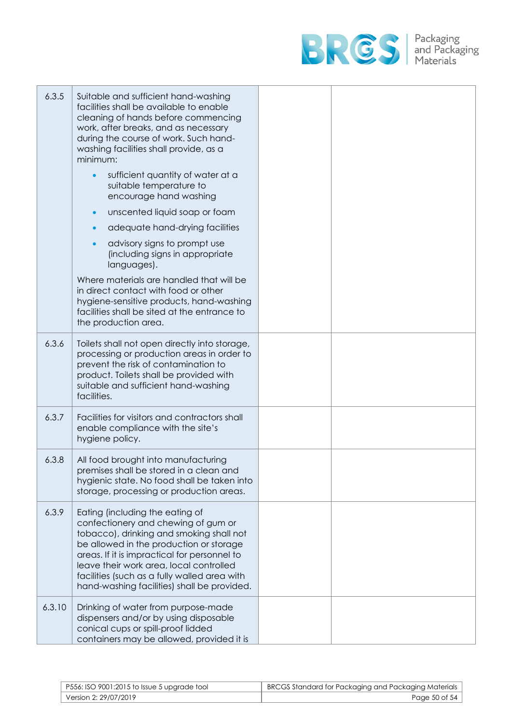

| 6.3.5  | Suitable and sufficient hand-washing<br>facilities shall be available to enable<br>cleaning of hands before commencing<br>work, after breaks, and as necessary<br>during the course of work. Such hand-<br>washing facilities shall provide, as a<br>minimum:<br>sufficient quantity of water at a<br>$\bullet$<br>suitable temperature to<br>encourage hand washing<br>unscented liquid soap or foam<br>$\bullet$<br>adequate hand-drying facilities<br>$\bullet$<br>advisory signs to prompt use<br>$\bullet$<br>(including signs in appropriate<br>languages).<br>Where materials are handled that will be<br>in direct contact with food or other<br>hygiene-sensitive products, hand-washing<br>facilities shall be sited at the entrance to<br>the production area. |  |
|--------|---------------------------------------------------------------------------------------------------------------------------------------------------------------------------------------------------------------------------------------------------------------------------------------------------------------------------------------------------------------------------------------------------------------------------------------------------------------------------------------------------------------------------------------------------------------------------------------------------------------------------------------------------------------------------------------------------------------------------------------------------------------------------|--|
| 6.3.6  | Toilets shall not open directly into storage,<br>processing or production areas in order to<br>prevent the risk of contamination to<br>product. Toilets shall be provided with<br>suitable and sufficient hand-washing<br>facilities.                                                                                                                                                                                                                                                                                                                                                                                                                                                                                                                                     |  |
| 6.3.7  | Facilities for visitors and contractors shall<br>enable compliance with the site's<br>hygiene policy.                                                                                                                                                                                                                                                                                                                                                                                                                                                                                                                                                                                                                                                                     |  |
| 6.3.8  | All food brought into manufacturing<br>premises shall be stored in a clean and<br>hygienic state. No food shall be taken into<br>storage, processing or production areas.                                                                                                                                                                                                                                                                                                                                                                                                                                                                                                                                                                                                 |  |
| 6.3.9  | Eating (including the eating of<br>confectionery and chewing of gum or<br>tobacco), drinking and smoking shall not<br>be allowed in the production or storage<br>areas. If it is impractical for personnel to<br>leave their work area, local controlled<br>facilities (such as a fully walled area with<br>hand-washing facilities) shall be provided.                                                                                                                                                                                                                                                                                                                                                                                                                   |  |
| 6.3.10 | Drinking of water from purpose-made<br>dispensers and/or by using disposable<br>conical cups or spill-proof lidded<br>containers may be allowed, provided it is                                                                                                                                                                                                                                                                                                                                                                                                                                                                                                                                                                                                           |  |

| P556: ISO 9001:2015 to Issue 5 upgrade tool | BRCGS Standard for Packaging and Packaging Materials |
|---------------------------------------------|------------------------------------------------------|
| Version 2: 29/07/2019                       | Page 50 of 54                                        |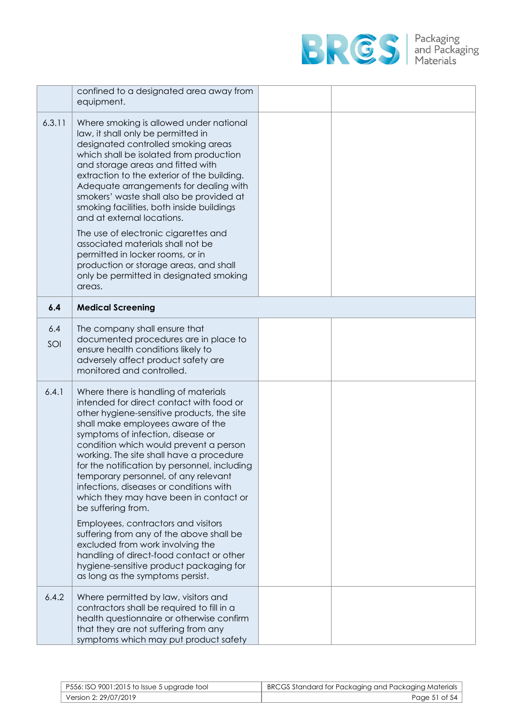

|            | confined to a designated area away from<br>equipment.                                                                                                                                                                                                                                                                                                                                                                                                                                                                                                                                                                                                                                                                                               |  |
|------------|-----------------------------------------------------------------------------------------------------------------------------------------------------------------------------------------------------------------------------------------------------------------------------------------------------------------------------------------------------------------------------------------------------------------------------------------------------------------------------------------------------------------------------------------------------------------------------------------------------------------------------------------------------------------------------------------------------------------------------------------------------|--|
| 6.3.11     | Where smoking is allowed under national<br>law, it shall only be permitted in<br>designated controlled smoking areas<br>which shall be isolated from production<br>and storage areas and fitted with<br>extraction to the exterior of the building.<br>Adequate arrangements for dealing with<br>smokers' waste shall also be provided at<br>smoking facilities, both inside buildings<br>and at external locations.<br>The use of electronic cigarettes and<br>associated materials shall not be<br>permitted in locker rooms, or in<br>production or storage areas, and shall<br>only be permitted in designated smoking<br>areas.                                                                                                                |  |
| 6.4        | <b>Medical Screening</b>                                                                                                                                                                                                                                                                                                                                                                                                                                                                                                                                                                                                                                                                                                                            |  |
| 6.4<br>SOI | The company shall ensure that<br>documented procedures are in place to<br>ensure health conditions likely to<br>adversely affect product safety are<br>monitored and controlled.                                                                                                                                                                                                                                                                                                                                                                                                                                                                                                                                                                    |  |
| 6.4.1      | Where there is handling of materials<br>intended for direct contact with food or<br>other hygiene-sensitive products, the site<br>shall make employees aware of the<br>symptoms of infection, disease or<br>condition which would prevent a person<br>working. The site shall have a procedure<br>for the notification by personnel, including<br>temporary personnel, of any relevant<br>infections, diseases or conditions with<br>which they may have been in contact or<br>be suffering from.<br>Employees, contractors and visitors<br>suffering from any of the above shall be<br>excluded from work involving the<br>handling of direct-food contact or other<br>hygiene-sensitive product packaging for<br>as long as the symptoms persist. |  |
| 6.4.2      | Where permitted by law, visitors and<br>contractors shall be required to fill in a<br>health questionnaire or otherwise confirm<br>that they are not suffering from any<br>symptoms which may put product safety                                                                                                                                                                                                                                                                                                                                                                                                                                                                                                                                    |  |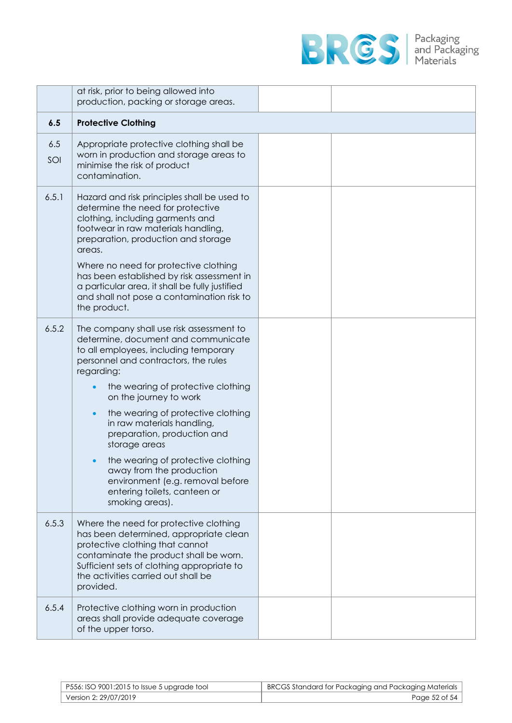

|            | at risk, prior to being allowed into<br>production, packing or storage areas.                                                                                                                                                                                                                                                                                                                                                                                                                                                            |  |
|------------|------------------------------------------------------------------------------------------------------------------------------------------------------------------------------------------------------------------------------------------------------------------------------------------------------------------------------------------------------------------------------------------------------------------------------------------------------------------------------------------------------------------------------------------|--|
| 6.5        | <b>Protective Clothing</b>                                                                                                                                                                                                                                                                                                                                                                                                                                                                                                               |  |
| 6.5<br>SOI | Appropriate protective clothing shall be<br>worn in production and storage areas to<br>minimise the risk of product<br>contamination.                                                                                                                                                                                                                                                                                                                                                                                                    |  |
| 6.5.1      | Hazard and risk principles shall be used to<br>determine the need for protective<br>clothing, including garments and<br>footwear in raw materials handling,<br>preparation, production and storage<br>areas.<br>Where no need for protective clothing<br>has been established by risk assessment in<br>a particular area, it shall be fully justified<br>and shall not pose a contamination risk to<br>the product.                                                                                                                      |  |
| 6.5.2      | The company shall use risk assessment to<br>determine, document and communicate<br>to all employees, including temporary<br>personnel and contractors, the rules<br>regarding:<br>the wearing of protective clothing<br>on the journey to work<br>the wearing of protective clothing<br>$\bullet$<br>in raw materials handling,<br>preparation, production and<br>storage areas<br>the wearing of protective clothing<br>away from the production<br>environment (e.g. removal before<br>entering toilets, canteen or<br>smoking areas). |  |
| 6.5.3      | Where the need for protective clothing<br>has been determined, appropriate clean<br>protective clothing that cannot<br>contaminate the product shall be worn.<br>Sufficient sets of clothing appropriate to<br>the activities carried out shall be<br>provided.                                                                                                                                                                                                                                                                          |  |
| 6.5.4      | Protective clothing worn in production<br>areas shall provide adequate coverage<br>of the upper torso.                                                                                                                                                                                                                                                                                                                                                                                                                                   |  |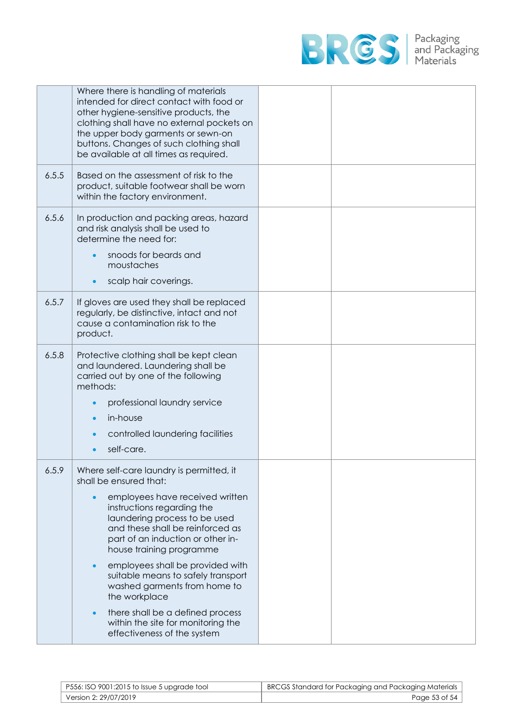

|       | Where there is handling of materials<br>intended for direct contact with food or<br>other hygiene-sensitive products, the<br>clothing shall have no external pockets on<br>the upper body garments or sewn-on<br>buttons. Changes of such clothing shall<br>be available at all times as required.                                                  |  |
|-------|-----------------------------------------------------------------------------------------------------------------------------------------------------------------------------------------------------------------------------------------------------------------------------------------------------------------------------------------------------|--|
| 6.5.5 | Based on the assessment of risk to the<br>product, suitable footwear shall be worn<br>within the factory environment.                                                                                                                                                                                                                               |  |
| 6.5.6 | In production and packing areas, hazard<br>and risk analysis shall be used to<br>determine the need for:<br>snoods for beards and<br>moustaches<br>scalp hair coverings.                                                                                                                                                                            |  |
| 6.5.7 | If gloves are used they shall be replaced<br>regularly, be distinctive, intact and not<br>cause a contamination risk to the<br>product.                                                                                                                                                                                                             |  |
| 6.5.8 | Protective clothing shall be kept clean<br>and laundered. Laundering shall be<br>carried out by one of the following<br>methods:<br>professional laundry service                                                                                                                                                                                    |  |
|       | in-house<br>controlled laundering facilities<br>self-care.                                                                                                                                                                                                                                                                                          |  |
| 6.5.9 | Where self-care laundry is permitted, it<br>shall be ensured that:<br>employees have received written<br>instructions regarding the<br>laundering process to be used<br>and these shall be reinforced as<br>part of an induction or other in-<br>house training programme<br>employees shall be provided with<br>suitable means to safely transport |  |
|       | washed garments from home to<br>the workplace<br>there shall be a defined process<br>within the site for monitoring the<br>effectiveness of the system                                                                                                                                                                                              |  |